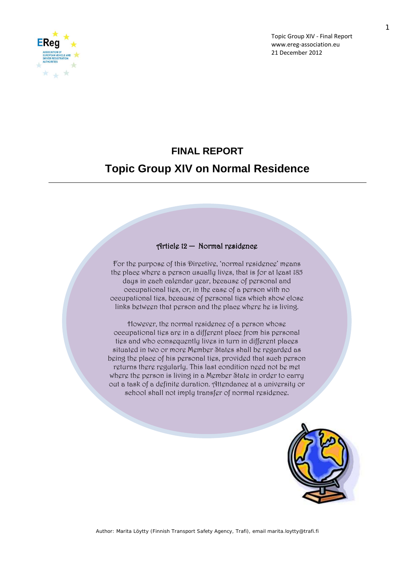

# **FINAL REPORT Topic Group XIV on Normal Residence**

#### Article 12 **─** Normal residence

For the purpose of this Directive, 'normal residence' means the place where a person usually lives, that is for at least 185 days in each calendar year, because of personal and occupational ties, or, in the case of a person with no occupational tigs, bgcausg of pgrsonal tigs which show closg links between that person and the place where he is living.

However, the normal residence of a person whose occupational ties are in a different place from his personal tigs and who consgquently lives in turn in different places situated in two or more Member States shall be regarded as being the place of his personal ties, provided that such person returns there regularly. This last condition need not be met where the person is living in a Member State in order to carry out a task of a definite duration. Attendance at a university or school shall not imply transfer of normal residence.



Author: Marita Löytty (Finnish Transport Safety Agency, Trafi), email marita.loytty@trafi.fi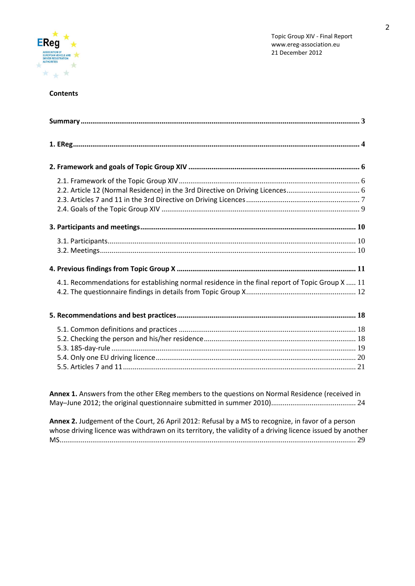

### **Contents**

| 4.1. Recommendations for establishing normal residence in the final report of Topic Group X  11 |  |
|-------------------------------------------------------------------------------------------------|--|
|                                                                                                 |  |
|                                                                                                 |  |
|                                                                                                 |  |
|                                                                                                 |  |
|                                                                                                 |  |
|                                                                                                 |  |
|                                                                                                 |  |

**Annex 1.** Answers from the other EReg members to the questions on Normal Residence (received in May─June 2012; the original questionnaire submitted in summer 2010)............................................ 24

**Annex 2.** Judgement of the Court, 26 April 2012: Refusal by a MS to recognize, in favor of a person whose driving licence was withdrawn on its territory, the validity of a driving licence issued by another MS.......................................................................................................................................................... 29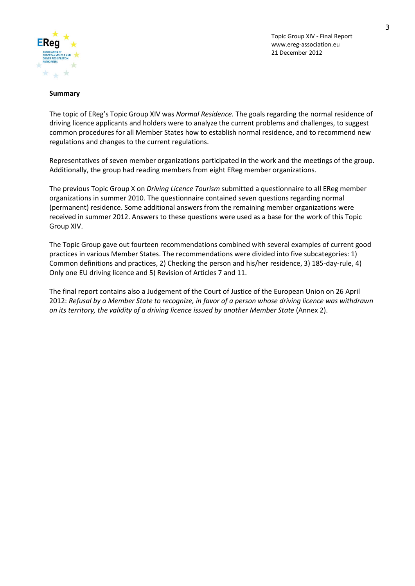

#### **Summary**

The topic of EReg's Topic Group XIV was *Normal Residence.* The goals regarding the normal residence of driving licence applicants and holders were to analyze the current problems and challenges, to suggest common procedures for all Member States how to establish normal residence, and to recommend new regulations and changes to the current regulations.

Representatives of seven member organizations participated in the work and the meetings of the group. Additionally, the group had reading members from eight EReg member organizations.

The previous Topic Group X on *Driving Licence Tourism* submitted a questionnaire to all EReg member organizations in summer 2010. The questionnaire contained seven questions regarding normal (permanent) residence. Some additional answers from the remaining member organizations were received in summer 2012. Answers to these questions were used as a base for the work of this Topic Group XIV.

The Topic Group gave out fourteen recommendations combined with several examples of current good practices in various Member States. The recommendations were divided into five subcategories: 1) Common definitions and practices, 2) Checking the person and his/her residence, 3) 185-day-rule, 4) Only one EU driving licence and 5) Revision of Articles 7 and 11.

The final report contains also a Judgement of the Court of Justice of the European Union on 26 April 2012: *Refusal by a Member State to recognize, in favor of a person whose driving licence was withdrawn on its territory, the validity of a driving licence issued by another Member State* (Annex 2).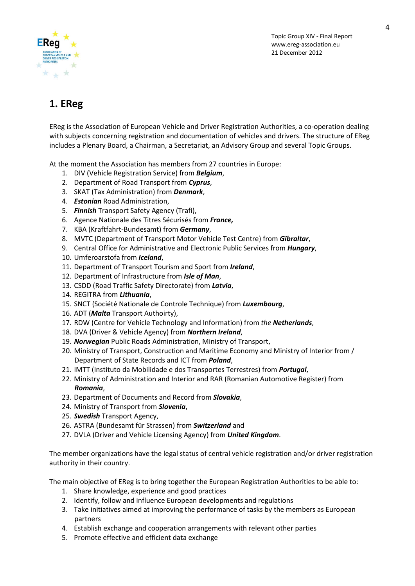

# **1. EReg**

EReg is the Association of European Vehicle and Driver Registration Authorities, a co-operation dealing with subjects concerning registration and documentation of vehicles and drivers. The structure of EReg includes a Plenary Board, a Chairman, a Secretariat, an Advisory Group and several Topic Groups.

At the moment the Association has members from 27 countries in Europe:

- 1. DIV (Vehicle Registration Service) from *Belgium*,
- 2. Department of Road Transport from *Cyprus*,
- 3. SKAT (Tax Administration) from *Denmark*,
- 4. *Estonian* Road Administration,
- 5. *Finnish* Transport Safety Agency (Trafi),
- 6. Agence Nationale des Titres Sécurisés from *France,*
- 7. KBA (Kraftfahrt-Bundesamt) from *Germany*,
- 8. MVTC (Department of Transport Motor Vehicle Test Centre) from *Gibraltar*,
- 9. Central Office for Administrative and Electronic Public Services from *Hungary*,
- 10. Umferoarstofa from *Iceland*,
- 11. Department of Transport Tourism and Sport from *Ireland*,
- 12. Department of Infrastructure from *Isle of Man*,
- 13. CSDD (Road Traffic Safety Directorate) from *Latvia*,
- 14. REGITRA from *Lithuania*,
- 15. SNCT (Société Nationale de Controle Technique) from *Luxembourg*,
- 16. ADT (*Malta* Transport Authoirty),
- 17. RDW (Centre for Vehicle Technology and Information) from *the Netherlands*,
- 18. DVA (Driver & Vehicle Agency) from *Northern Ireland*,
- 19. *Norwegian* Public Roads Administration, Ministry of Transport,
- 20. Ministry of Transport, Construction and Maritime Economy and Ministry of Interior from / Department of State Records and ICT from *Poland*,
- 21. IMTT (Instituto da Mobilidade e dos Transportes Terrestres) from *Portugal*,
- 22. Ministry of Administration and Interior and RAR (Romanian Automotive Register) from *Romania*,
- 23. Department of Documents and Record from *Slovakia*,
- 24. Ministry of Transport from *Slovenia*,
- 25. *Swedish* Transport Agency,
- 26. ASTRA (Bundesamt für Strassen) from *Switzerland* and
- 27. DVLA (Driver and Vehicle Licensing Agency) from *United Kingdom*.

The member organizations have the legal status of central vehicle registration and/or driver registration authority in their country.

The main objective of EReg is to bring together the European Registration Authorities to be able to:

- 1. Share knowledge, experience and good practices
- 2. Identify, follow and influence European developments and regulations
- 3. Take initiatives aimed at improving the performance of tasks by the members as European partners
- 4. Establish exchange and cooperation arrangements with relevant other parties
- 5. Promote effective and efficient data exchange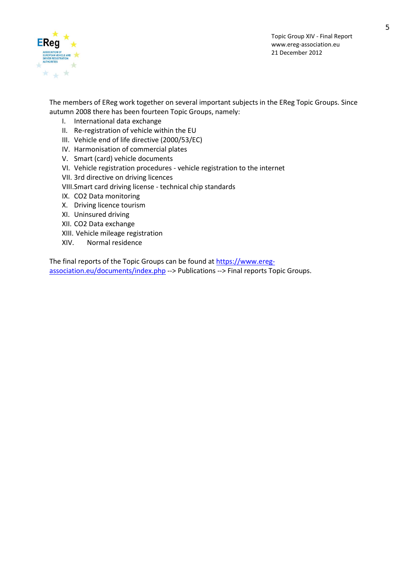

5

The members of EReg work together on several important subjects in the EReg Topic Groups. Since autumn 2008 there has been fourteen Topic Groups, namely:

- I. International data exchange
- II. Re-registration of vehicle within the EU
- III. Vehicle end of life directive (2000/53/EC)
- IV. Harmonisation of commercial plates
- V. Smart (card) vehicle documents
- VI. Vehicle registration procedures vehicle registration to the internet
- VII. 3rd directive on driving licences
- VIII.Smart card driving license technical chip standards
- IX. CO2 Data monitoring
- X. Driving licence tourism
- XI. Uninsured driving
- XII. CO2 Data exchange
- XIII. Vehicle mileage registration
- XIV. Normal residence

The final reports of the Topic Groups can be found at [https://www.ereg](https://www.ereg-association.eu/documents/index.php)[association.eu/documents/index.php](https://www.ereg-association.eu/documents/index.php) --> Publications --> Final reports Topic Groups.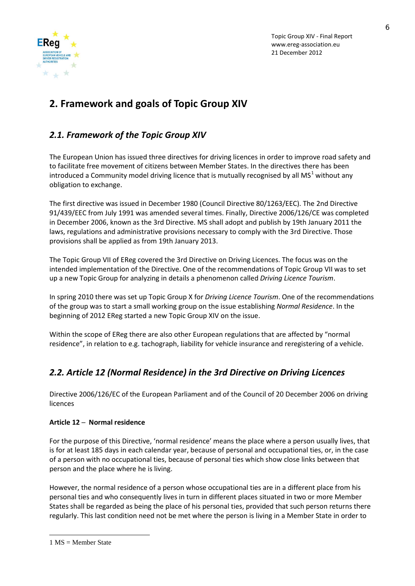

# **2. Framework and goals of Topic Group XIV**

## *2.1. Framework of the Topic Group XIV*

The European Union has issued three directives for driving licences in order to improve road safety and to facilitate free movement of citizens between Member States. In the directives there has been introduced a Community model driving licence that is mutually recognised by all MS<sup>[1](#page-5-0)</sup> without any obligation to exchange.

The first directive was issued in December 1980 (Council Directive 80/1263/EEC). The 2nd Directive 91/439/EEC from July 1991 was amended several times. Finally, Directive 2006/126/CE was completed in December 2006, known as the 3rd Directive. MS shall adopt and publish by 19th January 2011 the laws, regulations and administrative provisions necessary to comply with the 3rd Directive. Those provisions shall be applied as from 19th January 2013.

The Topic Group VII of EReg covered the 3rd Directive on Driving Licences. The focus was on the intended implementation of the Directive. One of the recommendations of Topic Group VII was to set up a new Topic Group for analyzing in details a phenomenon called *Driving Licence Tourism*.

In spring 2010 there was set up Topic Group X for *Driving Licence Tourism*. One of the recommendations of the group was to start a small working group on the issue establishing *Normal Residence*. In the beginning of 2012 EReg started a new Topic Group XIV on the issue.

Within the scope of EReg there are also other European regulations that are affected by "normal residence", in relation to e.g. tachograph, liability for vehicle insurance and reregistering of a vehicle.

# *2.2. Article 12 (Normal Residence) in the 3rd Directive on Driving Licences*

Directive 2006/126/EC of the European Parliament and of the Council of 20 December 2006 on driving licences

### **Article 12 ─ Normal residence**

For the purpose of this Directive, 'normal residence' means the place where a person usually lives, that is for at least 185 days in each calendar year, because of personal and occupational ties, or, in the case of a person with no occupational ties, because of personal ties which show close links between that person and the place where he is living.

However, the normal residence of a person whose occupational ties are in a different place from his personal ties and who consequently lives in turn in different places situated in two or more Member States shall be regarded as being the place of his personal ties, provided that such person returns there regularly. This last condition need not be met where the person is living in a Member State in order to

<u>.</u>

<span id="page-5-0"></span><sup>1</sup> MS = Member State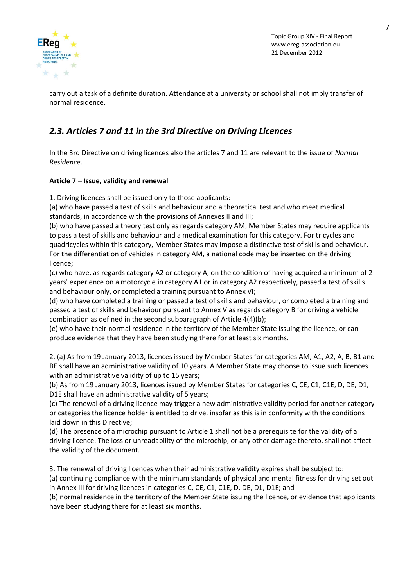

carry out a task of a definite duration. Attendance at a university or school shall not imply transfer of normal residence.

## *2.3. Articles 7 and 11 in the 3rd Directive on Driving Licences*

In the 3rd Directive on driving licences also the articles 7 and 11 are relevant to the issue of *Normal Residence*.

### **Article 7 ─ Issue, validity and renewal**

1. Driving licences shall be issued only to those applicants:

(a) who have passed a test of skills and behaviour and a theoretical test and who meet medical standards, in accordance with the provisions of Annexes II and III;

(b) who have passed a theory test only as regards category AM; Member States may require applicants to pass a test of skills and behaviour and a medical examination for this category. For tricycles and quadricycles within this category, Member States may impose a distinctive test of skills and behaviour. For the differentiation of vehicles in category AM, a national code may be inserted on the driving licence;

(c) who have, as regards category A2 or category A, on the condition of having acquired a minimum of 2 years' experience on a motorcycle in category A1 or in category A2 respectively, passed a test of skills and behaviour only, or completed a training pursuant to Annex VI;

(d) who have completed a training or passed a test of skills and behaviour, or completed a training and passed a test of skills and behaviour pursuant to Annex V as regards category B for driving a vehicle combination as defined in the second subparagraph of Article 4(4)(b);

(e) who have their normal residence in the territory of the Member State issuing the licence, or can produce evidence that they have been studying there for at least six months.

2. (a) As from 19 January 2013, licences issued by Member States for categories AM, A1, A2, A, B, B1 and BE shall have an administrative validity of 10 years. A Member State may choose to issue such licences with an administrative validity of up to 15 years;

(b) As from 19 January 2013, licences issued by Member States for categories C, CE, C1, C1E, D, DE, D1, D1E shall have an administrative validity of 5 years;

(c) The renewal of a driving licence may trigger a new administrative validity period for another category or categories the licence holder is entitled to drive, insofar as this is in conformity with the conditions laid down in this Directive;

(d) The presence of a microchip pursuant to Article 1 shall not be a prerequisite for the validity of a driving licence. The loss or unreadability of the microchip, or any other damage thereto, shall not affect the validity of the document.

3. The renewal of driving licences when their administrative validity expires shall be subject to:

(a) continuing compliance with the minimum standards of physical and mental fitness for driving set out in Annex III for driving licences in categories C, CE, C1, C1E, D, DE, D1, D1E; and

(b) normal residence in the territory of the Member State issuing the licence, or evidence that applicants have been studying there for at least six months.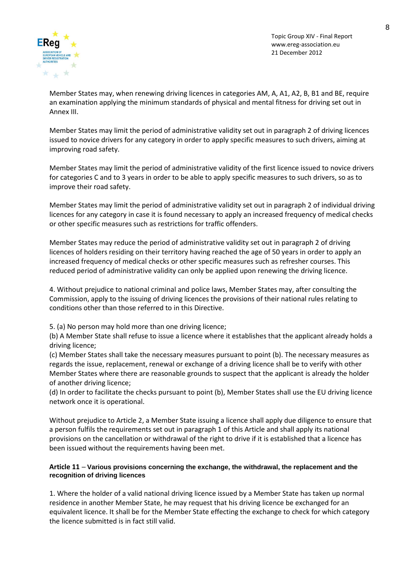

Member States may, when renewing driving licences in categories AM, A, A1, A2, B, B1 and BE, require an examination applying the minimum standards of physical and mental fitness for driving set out in Annex III.

Member States may limit the period of administrative validity set out in paragraph 2 of driving licences issued to novice drivers for any category in order to apply specific measures to such drivers, aiming at improving road safety.

Member States may limit the period of administrative validity of the first licence issued to novice drivers for categories C and to 3 years in order to be able to apply specific measures to such drivers, so as to improve their road safety.

Member States may limit the period of administrative validity set out in paragraph 2 of individual driving licences for any category in case it is found necessary to apply an increased frequency of medical checks or other specific measures such as restrictions for traffic offenders.

Member States may reduce the period of administrative validity set out in paragraph 2 of driving licences of holders residing on their territory having reached the age of 50 years in order to apply an increased frequency of medical checks or other specific measures such as refresher courses. This reduced period of administrative validity can only be applied upon renewing the driving licence.

4. Without prejudice to national criminal and police laws, Member States may, after consulting the Commission, apply to the issuing of driving licences the provisions of their national rules relating to conditions other than those referred to in this Directive.

5. (a) No person may hold more than one driving licence;

(b) A Member State shall refuse to issue a licence where it establishes that the applicant already holds a driving licence;

(c) Member States shall take the necessary measures pursuant to point (b). The necessary measures as regards the issue, replacement, renewal or exchange of a driving licence shall be to verify with other Member States where there are reasonable grounds to suspect that the applicant is already the holder of another driving licence;

(d) In order to facilitate the checks pursuant to point (b), Member States shall use the EU driving licence network once it is operational.

Without prejudice to Article 2, a Member State issuing a licence shall apply due diligence to ensure that a person fulfils the requirements set out in paragraph 1 of this Article and shall apply its national provisions on the cancellation or withdrawal of the right to drive if it is established that a licence has been issued without the requirements having been met.

#### **Article 11 ─ Various provisions concerning the exchange, the withdrawal, the replacement and the recognition of driving licences**

1. Where the holder of a valid national driving licence issued by a Member State has taken up normal residence in another Member State, he may request that his driving licence be exchanged for an equivalent licence. It shall be for the Member State effecting the exchange to check for which category the licence submitted is in fact still valid.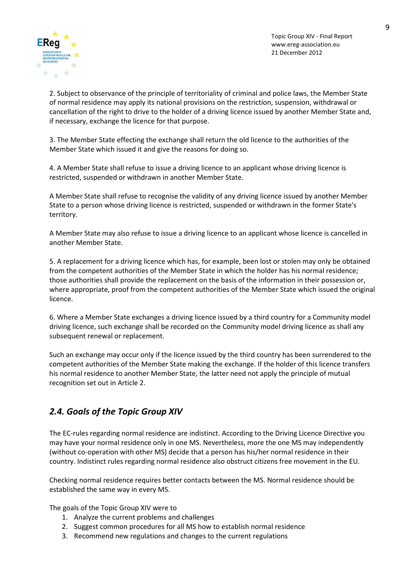

9

2. Subject to observance of the principle of territoriality of criminal and police laws, the Member State of normal residence may apply its national provisions on the restriction, suspension, withdrawal or cancellation of the right to drive to the holder of a driving licence issued by another Member State and, if necessary, exchange the licence for that purpose.

3. The Member State effecting the exchange shall return the old licence to the authorities of the Member State which issued it and give the reasons for doing so.

4. A Member State shall refuse to issue a driving licence to an applicant whose driving licence is restricted, suspended or withdrawn in another Member State.

A Member State shall refuse to recognise the validity of any driving licence issued by another Member State to a person whose driving licence is restricted, suspended or withdrawn in the former State's territory.

A Member State may also refuse to issue a driving licence to an applicant whose licence is cancelled in another Member State.

5. A replacement for a driving licence which has, for example, been lost or stolen may only be obtained from the competent authorities of the Member State in which the holder has his normal residence; those authorities shall provide the replacement on the basis of the information in their possession or, where appropriate, proof from the competent authorities of the Member State which issued the original licence.

6. Where a Member State exchanges a driving licence issued by a third country for a Community model driving licence, such exchange shall be recorded on the Community model driving licence as shall any subsequent renewal or replacement.

Such an exchange may occur only if the licence issued by the third country has been surrendered to the competent authorities of the Member State making the exchange. If the holder of this licence transfers his normal residence to another Member State, the latter need not apply the principle of mutual recognition set out in Article 2.

## *2.4. Goals of the Topic Group XIV*

The EC-rules regarding normal residence are indistinct. According to the Driving Licence Directive you may have your normal residence only in one MS. Nevertheless, more the one MS may independently (without co-operation with other MS) decide that a person has his/her normal residence in their country. Indistinct rules regarding normal residence also obstruct citizens free movement in the EU.

Checking normal residence requires better contacts between the MS. Normal residence should be established the same way in every MS.

The goals of the Topic Group XIV were to

- 1. Analyze the current problems and challenges
- 2. Suggest common procedures for all MS how to establish normal residence
- 3. Recommend new regulations and changes to the current regulations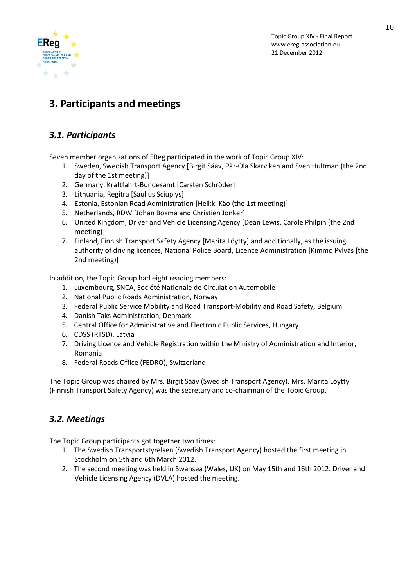

# **3. Participants and meetings**

# *3.1. Participants*

Seven member organizations of EReg participated in the work of Topic Group XIV:

- 1. Sweden, Swedish Transport Agency [Birgit Sääv, Pär-Ola Skarviken and Sven Hultman (the 2nd day of the 1st meeting)]
- 2. Germany, Kraftfahrt-Bundesamt [Carsten Schröder]
- 3. Lithuania, Regitra [Saulius Sciuplys]
- 4. Estonia, Estonian Road Administration [Heikki Käo (the 1st meeting)]
- 5. Netherlands, RDW [Johan Boxma and Christien Jonker]
- 6. United Kingdom, Driver and Vehicle Licensing Agency [Dean Lewis, Carole Philpin (the 2nd meeting)]
- 7. Finland, Finnish Transport Safety Agency [Marita Löytty] and additionally, as the issuing authority of driving licences, National Police Board, Licence Administration [Kimmo Pylväs [the 2nd meeting)]

In addition, the Topic Group had eight reading members:

- 1. Luxembourg, SNCA, Société Nationale de Circulation Automobile
- 2. National Public Roads Administration, Norway
- 3. Federal Public Service Mobility and Road Transport-Mobility and Road Safety, Belgium
- 4. Danish Taks Administration, Denmark
- 5. Central Office for Administrative and Electronic Public Services, Hungary
- 6. CDSS (RTSD), Latvia
- 7. Driving Licence and Vehicle Registration within the Ministry of Administration and Interior, Romania
- 8. Federal Roads Office (FEDRO), Switzerland

The Topic Group was chaired by Mrs. Birgit Sääv (Swedish Transport Agency). Mrs. Marita Löytty (Finnish Transport Safety Agency) was the secretary and co-chairman of the Topic Group.

# *3.2. Meetings*

The Topic Group participants got together two times:

- 1. The Swedish Transportstyrelsen (Swedish Transport Agency) hosted the first meeting in Stockholm on 5th and 6th March 2012.
- 2. The second meeting was held in Swansea (Wales, UK) on May 15th and 16th 2012. Driver and Vehicle Licensing Agency (DVLA) hosted the meeting.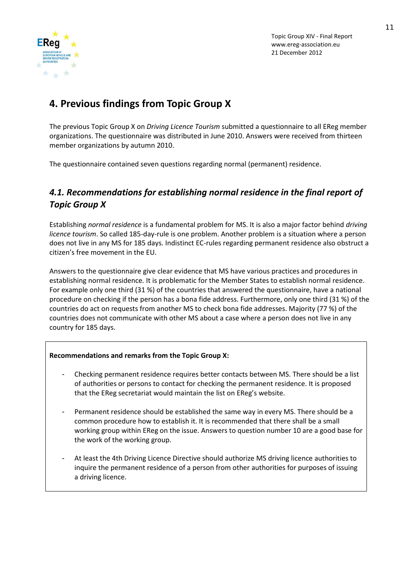

# **4. Previous findings from Topic Group X**

The previous Topic Group X on *Driving Licence Tourism* submitted a questionnaire to all EReg member organizations. The questionnaire was distributed in June 2010. Answers were received from thirteen member organizations by autumn 2010.

The questionnaire contained seven questions regarding normal (permanent) residence.

## *4.1. Recommendations for establishing normal residence in the final report of Topic Group X*

Establishing *normal residence* is a fundamental problem for MS. It is also a major factor behind *driving licence tourism*. So called 185-day-rule is one problem. Another problem is a situation where a person does not live in any MS for 185 days. Indistinct EC-rules regarding permanent residence also obstruct a citizen's free movement in the EU.

Answers to the questionnaire give clear evidence that MS have various practices and procedures in establishing normal residence*.* It is problematic for the Member States to establish normal residence. For example only one third (31 %) of the countries that answered the questionnaire, have a national procedure on checking if the person has a bona fide address. Furthermore, only one third (31 %) of the countries do act on requests from another MS to check bona fide addresses. Majority (77 %) of the countries does not communicate with other MS about a case where a person does not live in any country for 185 days.

### **Recommendations and remarks from the Topic Group X:**

- Checking permanent residence requires better contacts between MS. There should be a list of authorities or persons to contact for checking the permanent residence. It is proposed that the EReg secretariat would maintain the list on EReg's website.
- Permanent residence should be established the same way in every MS. There should be a common procedure how to establish it. It is recommended that there shall be a small working group within EReg on the issue. Answers to question number 10 are a good base for the work of the working group.
- At least the 4th Driving Licence Directive should authorize MS driving licence authorities to inquire the permanent residence of a person from other authorities for purposes of issuing a driving licence.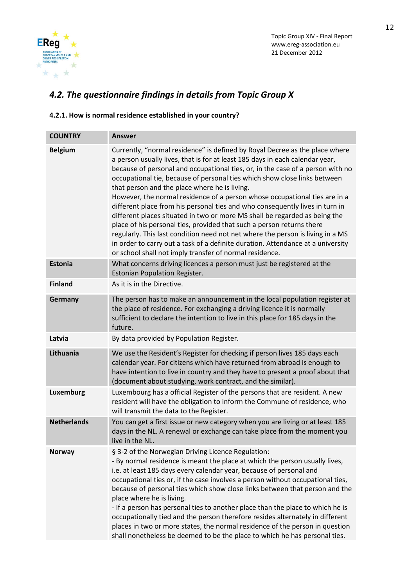

# *4.2. The questionnaire findings in details from Topic Group X*

### **4.2.1. How is normal residence established in your country?**

| <b>COUNTRY</b>     | <b>Answer</b>                                                                                                                                                                                                                                                                                                                                                                                                                                                                                                                                                                                                                                                                                                                                                                                                                                                                                                                    |
|--------------------|----------------------------------------------------------------------------------------------------------------------------------------------------------------------------------------------------------------------------------------------------------------------------------------------------------------------------------------------------------------------------------------------------------------------------------------------------------------------------------------------------------------------------------------------------------------------------------------------------------------------------------------------------------------------------------------------------------------------------------------------------------------------------------------------------------------------------------------------------------------------------------------------------------------------------------|
| <b>Belgium</b>     | Currently, "normal residence" is defined by Royal Decree as the place where<br>a person usually lives, that is for at least 185 days in each calendar year,<br>because of personal and occupational ties, or, in the case of a person with no<br>occupational tie, because of personal ties which show close links between<br>that person and the place where he is living.<br>However, the normal residence of a person whose occupational ties are in a<br>different place from his personal ties and who consequently lives in turn in<br>different places situated in two or more MS shall be regarded as being the<br>place of his personal ties, provided that such a person returns there<br>regularly. This last condition need not net where the person is living in a MS<br>in order to carry out a task of a definite duration. Attendance at a university<br>or school shall not imply transfer of normal residence. |
| <b>Estonia</b>     | What concerns driving licences a person must just be registered at the<br><b>Estonian Population Register.</b>                                                                                                                                                                                                                                                                                                                                                                                                                                                                                                                                                                                                                                                                                                                                                                                                                   |
| <b>Finland</b>     | As it is in the Directive.                                                                                                                                                                                                                                                                                                                                                                                                                                                                                                                                                                                                                                                                                                                                                                                                                                                                                                       |
| Germany            | The person has to make an announcement in the local population register at<br>the place of residence. For exchanging a driving licence it is normally<br>sufficient to declare the intention to live in this place for 185 days in the<br>future.                                                                                                                                                                                                                                                                                                                                                                                                                                                                                                                                                                                                                                                                                |
| Latvia             | By data provided by Population Register.                                                                                                                                                                                                                                                                                                                                                                                                                                                                                                                                                                                                                                                                                                                                                                                                                                                                                         |
| Lithuania          | We use the Resident's Register for checking if person lives 185 days each<br>calendar year. For citizens which have returned from abroad is enough to<br>have intention to live in country and they have to present a proof about that<br>(document about studying, work contract, and the similar).                                                                                                                                                                                                                                                                                                                                                                                                                                                                                                                                                                                                                             |
| Luxemburg          | Luxembourg has a official Register of the persons that are resident. A new<br>resident will have the obligation to inform the Commune of residence, who<br>will transmit the data to the Register.                                                                                                                                                                                                                                                                                                                                                                                                                                                                                                                                                                                                                                                                                                                               |
| <b>Netherlands</b> | You can get a first issue or new category when you are living or at least 185<br>days in the NL. A renewal or exchange can take place from the moment you<br>live in the NL.                                                                                                                                                                                                                                                                                                                                                                                                                                                                                                                                                                                                                                                                                                                                                     |
| <b>Norway</b>      | § 3-2 of the Norwegian Driving Licence Regulation:<br>- By normal residence is meant the place at which the person usually lives,<br>i.e. at least 185 days every calendar year, because of personal and<br>occupational ties or, if the case involves a person without occupational ties,<br>because of personal ties which show close links between that person and the<br>place where he is living.<br>- If a person has personal ties to another place than the place to which he is<br>occupationally tied and the person therefore resides alternately in different<br>places in two or more states, the normal residence of the person in question<br>shall nonetheless be deemed to be the place to which he has personal ties.                                                                                                                                                                                          |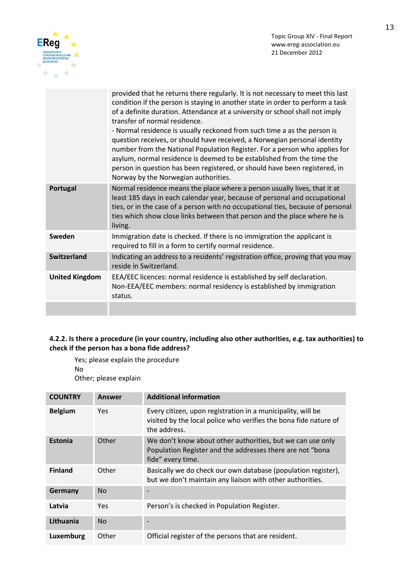



|                       | provided that he returns there regularly. It is not necessary to meet this last<br>condition if the person is staying in another state in order to perform a task<br>of a definite duration. Attendance at a university or school shall not imply<br>transfer of normal residence.<br>- Normal residence is usually reckoned from such time a as the person is<br>question receives, or should have received, a Norwegian personal identity<br>number from the National Population Register. For a person who applies for<br>asylum, normal residence is deemed to be established from the time the<br>person in question has been registered, or should have been registered, in<br>Norway by the Norwegian authorities. |
|-----------------------|---------------------------------------------------------------------------------------------------------------------------------------------------------------------------------------------------------------------------------------------------------------------------------------------------------------------------------------------------------------------------------------------------------------------------------------------------------------------------------------------------------------------------------------------------------------------------------------------------------------------------------------------------------------------------------------------------------------------------|
| Portugal              | Normal residence means the place where a person usually lives, that it at<br>least 185 days in each calendar year, because of personal and occupational<br>ties, or in the case of a person with no occupational ties, because of personal<br>ties which show close links between that person and the place where he is<br>living.                                                                                                                                                                                                                                                                                                                                                                                        |
| Sweden                | Immigration date is checked. If there is no immigration the applicant is<br>required to fill in a form to certify normal residence.                                                                                                                                                                                                                                                                                                                                                                                                                                                                                                                                                                                       |
| <b>Switzerland</b>    | Indicating an address to a residents' registration office, proving that you may<br>reside in Switzerland.                                                                                                                                                                                                                                                                                                                                                                                                                                                                                                                                                                                                                 |
| <b>United Kingdom</b> | EEA/EEC licences: normal residence is established by self declaration.<br>Non-EEA/EEC members: normal residency is established by immigration<br>status.                                                                                                                                                                                                                                                                                                                                                                                                                                                                                                                                                                  |
|                       |                                                                                                                                                                                                                                                                                                                                                                                                                                                                                                                                                                                                                                                                                                                           |

### **4.2.2. Is there a procedure (in your country, including also other authorities, e.g. tax authorities) to check if the person has a bona fide address?**

Yes; please explain the procedure No Other; please explain

| <b>COUNTRY</b> | <b>Answer</b> | <b>Additional information</b>                                                                                                                   |
|----------------|---------------|-------------------------------------------------------------------------------------------------------------------------------------------------|
| <b>Belgium</b> | Yes           | Every citizen, upon registration in a municipality, will be<br>visited by the local police who verifies the bona fide nature of<br>the address. |
| <b>Estonia</b> | Other         | We don't know about other authorities, but we can use only<br>Population Register and the addresses there are not "bona<br>fide" every time.    |
| <b>Finland</b> | Other         | Basically we do check our own database (population register),<br>but we don't maintain any liaison with other authorities.                      |
| Germany        | <b>No</b>     |                                                                                                                                                 |
| Latvia         | Yes           | Person's is checked in Population Register.                                                                                                     |
| Lithuania      | <b>No</b>     |                                                                                                                                                 |
| Luxemburg      | Other         | Official register of the persons that are resident.                                                                                             |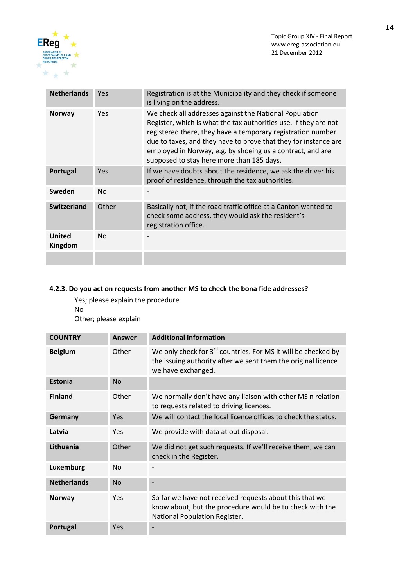



| <b>Netherlands</b>       | Yes            | Registration is at the Municipality and they check if someone<br>is living on the address.                                                                                                                                                                                                                                                                              |
|--------------------------|----------------|-------------------------------------------------------------------------------------------------------------------------------------------------------------------------------------------------------------------------------------------------------------------------------------------------------------------------------------------------------------------------|
| <b>Norway</b>            | Yes            | We check all addresses against the National Population<br>Register, which is what the tax authorities use. If they are not<br>registered there, they have a temporary registration number<br>due to taxes, and they have to prove that they for instance are<br>employed in Norway, e.g. by shoeing us a contract, and are<br>supposed to stay here more than 185 days. |
| Portugal                 | Yes            | If we have doubts about the residence, we ask the driver his<br>proof of residence, through the tax authorities.                                                                                                                                                                                                                                                        |
| Sweden                   | N <sub>0</sub> |                                                                                                                                                                                                                                                                                                                                                                         |
| <b>Switzerland</b>       | Other          | Basically not, if the road traffic office at a Canton wanted to<br>check some address, they would ask the resident's<br>registration office.                                                                                                                                                                                                                            |
| <b>United</b><br>Kingdom | No.            |                                                                                                                                                                                                                                                                                                                                                                         |
|                          |                |                                                                                                                                                                                                                                                                                                                                                                         |

### **4.2.3. Do you act on requests from another MS to check the bona fide addresses?**

Yes; please explain the procedure No

Other; please explain

| <b>COUNTRY</b>     | <b>Answer</b> | <b>Additional information</b>                                                                                                                                    |
|--------------------|---------------|------------------------------------------------------------------------------------------------------------------------------------------------------------------|
| <b>Belgium</b>     | Other         | We only check for 3 <sup>rd</sup> countries. For MS it will be checked by<br>the issuing authority after we sent them the original licence<br>we have exchanged. |
| Estonia            | <b>No</b>     |                                                                                                                                                                  |
| <b>Finland</b>     | Other         | We normally don't have any liaison with other MS n relation<br>to requests related to driving licences.                                                          |
| Germany            | <b>Yes</b>    | We will contact the local licence offices to check the status.                                                                                                   |
| Latvia             | Yes           | We provide with data at out disposal.                                                                                                                            |
| Lithuania          | Other         | We did not get such requests. If we'll receive them, we can<br>check in the Register.                                                                            |
| Luxemburg          | <b>No</b>     |                                                                                                                                                                  |
| <b>Netherlands</b> | <b>No</b>     |                                                                                                                                                                  |
| <b>Norway</b>      | Yes           | So far we have not received requests about this that we<br>know about, but the procedure would be to check with the<br>National Population Register.             |
| Portugal           | Yes           | $\qquad \qquad$                                                                                                                                                  |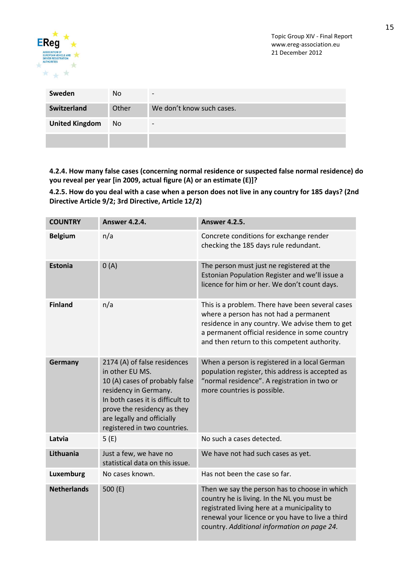

| Sweden                | No.   | $\overline{\phantom{0}}$  |
|-----------------------|-------|---------------------------|
| Switzerland           | Other | We don't know such cases. |
| <b>United Kingdom</b> | No.   | $\overline{\phantom{0}}$  |
|                       |       |                           |

**4.2.4. How many false cases (concerning normal residence or suspected false normal residence) do you reveal per year [in 2009, actual figure (A) or an estimate (E)]?**

**4.2.5. How do you deal with a case when a person does not live in any country for 185 days? (2nd Directive Article 9/2; 3rd Directive, Article 12/2)**

| <b>COUNTRY</b>     | <b>Answer 4.2.4.</b>                                                                                                                                                                                                                        | <b>Answer 4.2.5.</b>                                                                                                                                                                                                                            |
|--------------------|---------------------------------------------------------------------------------------------------------------------------------------------------------------------------------------------------------------------------------------------|-------------------------------------------------------------------------------------------------------------------------------------------------------------------------------------------------------------------------------------------------|
| <b>Belgium</b>     | n/a                                                                                                                                                                                                                                         | Concrete conditions for exchange render<br>checking the 185 days rule redundant.                                                                                                                                                                |
| <b>Estonia</b>     | 0(A)                                                                                                                                                                                                                                        | The person must just ne registered at the<br>Estonian Population Register and we'll issue a<br>licence for him or her. We don't count days.                                                                                                     |
| <b>Finland</b>     | n/a                                                                                                                                                                                                                                         | This is a problem. There have been several cases<br>where a person has not had a permanent<br>residence in any country. We advise them to get<br>a permanent official residence in some country<br>and then return to this competent authority. |
| Germany            | 2174 (A) of false residences<br>in other EU MS.<br>10 (A) cases of probably false<br>residency in Germany.<br>In both cases it is difficult to<br>prove the residency as they<br>are legally and officially<br>registered in two countries. | When a person is registered in a local German<br>population register, this address is accepted as<br>"normal residence". A registration in two or<br>more countries is possible.                                                                |
| Latvia             | 5(E)                                                                                                                                                                                                                                        | No such a cases detected.                                                                                                                                                                                                                       |
| Lithuania          | Just a few, we have no<br>statistical data on this issue.                                                                                                                                                                                   | We have not had such cases as yet.                                                                                                                                                                                                              |
| Luxemburg          | No cases known.                                                                                                                                                                                                                             | Has not been the case so far.                                                                                                                                                                                                                   |
| <b>Netherlands</b> | 500 $(E)$                                                                                                                                                                                                                                   | Then we say the person has to choose in which<br>country he is living. In the NL you must be<br>registrated living here at a municipality to<br>renewal your licence or you have to live a third<br>country. Additional information on page 24. |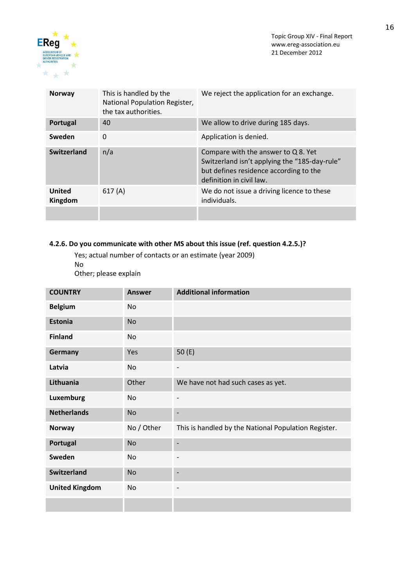

| <b>Norway</b>            | This is handled by the<br>National Population Register,<br>the tax authorities. | We reject the application for an exchange.                                                                                                                 |
|--------------------------|---------------------------------------------------------------------------------|------------------------------------------------------------------------------------------------------------------------------------------------------------|
| Portugal                 | 40                                                                              | We allow to drive during 185 days.                                                                                                                         |
| Sweden                   | $\Omega$                                                                        | Application is denied.                                                                                                                                     |
| <b>Switzerland</b>       | n/a                                                                             | Compare with the answer to Q 8. Yet<br>Switzerland isn't applying the "185-day-rule"<br>but defines residence according to the<br>definition in civil law. |
| <b>United</b><br>Kingdom | 617(A)                                                                          | We do not issue a driving licence to these<br>individuals.                                                                                                 |
|                          |                                                                                 |                                                                                                                                                            |

### **4.2.6. Do you communicate with other MS about this issue (ref. question 4.2.5.)?**

Yes; actual number of contacts or an estimate (year 2009)

No

Other; please explain

| <b>COUNTRY</b>        | <b>Answer</b> | <b>Additional information</b>                        |
|-----------------------|---------------|------------------------------------------------------|
| <b>Belgium</b>        | No            |                                                      |
| <b>Estonia</b>        | <b>No</b>     |                                                      |
| <b>Finland</b>        | No            |                                                      |
| Germany               | Yes           | 50(E)                                                |
| Latvia                | No            | $\overline{\phantom{0}}$                             |
| Lithuania             | Other         | We have not had such cases as yet.                   |
| <b>Luxemburg</b>      | <b>No</b>     | ٠                                                    |
| <b>Netherlands</b>    | <b>No</b>     | -                                                    |
| <b>Norway</b>         | No / Other    | This is handled by the National Population Register. |
| Portugal              | <b>No</b>     | -                                                    |
| Sweden                | No            | ۰                                                    |
| <b>Switzerland</b>    | <b>No</b>     | ٠                                                    |
| <b>United Kingdom</b> | No            | ٠                                                    |
|                       |               |                                                      |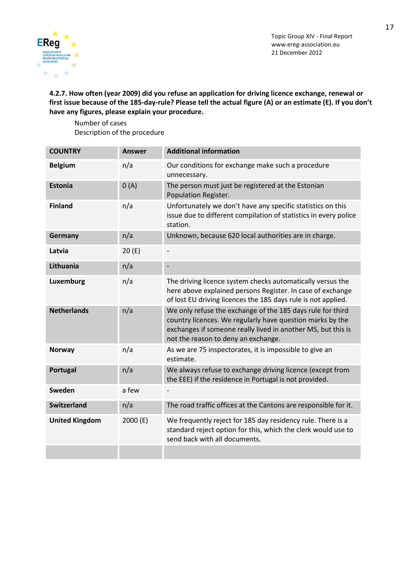

**4.2.7. How often (year 2009) did you refuse an application for driving licence exchange, renewal or first issue because of the 185-day-rule? Please tell the actual figure (A) or an estimate (E). If you don't have any figures, please explain your procedure.**

Number of cases Description of the procedure

| <b>COUNTRY</b>        | <b>Answer</b> | <b>Additional information</b>                                                                                                                                                                                                  |
|-----------------------|---------------|--------------------------------------------------------------------------------------------------------------------------------------------------------------------------------------------------------------------------------|
| <b>Belgium</b>        | n/a           | Our conditions for exchange make such a procedure<br>unnecessary.                                                                                                                                                              |
| <b>Estonia</b>        | 0(A)          | The person must just be registered at the Estonian<br>Population Register.                                                                                                                                                     |
| <b>Finland</b>        | n/a           | Unfortunately we don't have any specific statistics on this<br>issue due to different compilation of statistics in every police<br>station.                                                                                    |
| Germany               | n/a           | Unknown, because 620 local authorities are in charge.                                                                                                                                                                          |
| Latvia                | 20(E)         |                                                                                                                                                                                                                                |
| Lithuania             | n/a           |                                                                                                                                                                                                                                |
| Luxemburg             | n/a           | The driving licence system checks automatically versus the<br>here above explained persons Register. In case of exchange<br>of lost EU driving licences the 185 days rule is not applied.                                      |
| <b>Netherlands</b>    | n/a           | We only refuse the exchange of the 185 days rule for third<br>country licences. We regularly have question marks by the<br>exchanges if someone really lived in another MS, but this is<br>not the reason to deny an exchange. |
| <b>Norway</b>         | n/a           | As we are 75 inspectorates, it is impossible to give an<br>estimate.                                                                                                                                                           |
| Portugal              | n/a           | We always refuse to exchange driving licence (except from<br>the EEE) if the residence in Portugal is not provided.                                                                                                            |
| Sweden                | a few         |                                                                                                                                                                                                                                |
| <b>Switzerland</b>    | n/a           | The road traffic offices at the Cantons are responsible for it.                                                                                                                                                                |
| <b>United Kingdom</b> | 2000 (E)      | We frequently reject for 185 day residency rule. There is a<br>standard reject option for this, which the clerk would use to<br>send back with all documents.                                                                  |
|                       |               |                                                                                                                                                                                                                                |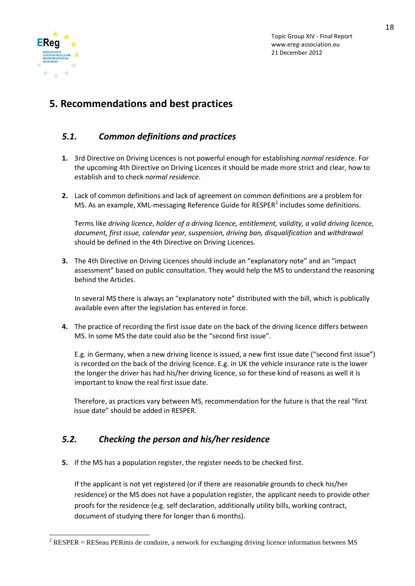

# **5. Recommendations and best practices**

## *5.1. Common definitions and practices*

- **1.** 3rd Directive on Driving Licences is not powerful enough for establishing *normal residence*. For the upcoming 4th Directive on Driving Licences it should be made more strict and clear, how to establish and to check *normal residence*.
- **2.** Lack of common definitions and lack of agreement on common definitions are a problem for MS. As an example, XML-messaging Reference Guide for RESPER<sup>[2](#page-17-0)</sup> includes some definitions.

Terms like *driving licence*, *holder of a driving licence, entitlement, validity, a valid driving licence, document, first issue, calendar year, suspension, driving ban, disqualification* and *withdrawal* should be defined in the 4th Directive on Driving Licences.

**3.** The 4th Directive on Driving Licences should include an "explanatory note" and an "impact assessment" based on public consultation. They would help the MS to understand the reasoning behind the Articles.

In several MS there is always an "explanatory note" distributed with the bill, which is publically available even after the legislation has entered in force.

**4.** The practice of recording the first issue date on the back of the driving licence differs between MS. In some MS the date could also be the "second first issue".

E.g. in Germany, when a new driving licence is issued, a new first issue date ("second first issue") is recorded on the back of the driving licence. E.g. in UK the vehicle insurance rate is the lower the longer the driver has had his/her driving licence, so for these kind of reasons as well it is important to know the real first issue date.

Therefore, as practices vary between MS, recommendation for the future is that the real "first issue date" should be added in RESPER.

## *5.2. Checking the person and his/her residence*

**5.** If the MS has a population register, the register needs to be checked first.

If the applicant is not yet registered (or if there are reasonable grounds to check his/her residence) or the MS does not have a population register, the applicant needs to provide other proofs for the residence (e.g. self declaration, additionally utility bills, working contract, document of studying there for longer than 6 months).

<span id="page-17-0"></span> $2$  RESPER = RESeau PERmis de conduire, a network for exchanging driving licence information between MS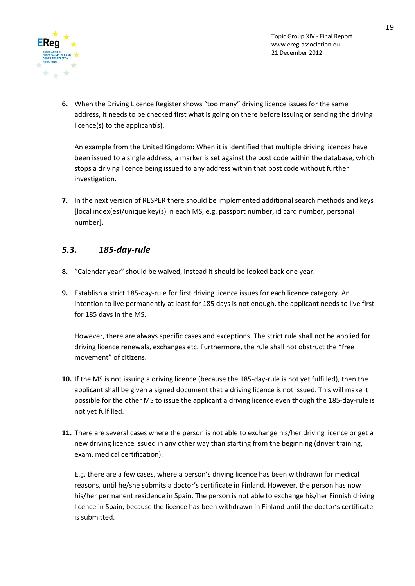

**6.** When the Driving Licence Register shows "too many" driving licence issues for the same address, it needs to be checked first what is going on there before issuing or sending the driving licence(s) to the applicant(s).

An example from the United Kingdom: When it is identified that multiple driving licences have been issued to a single address, a marker is set against the post code within the database, which stops a driving licence being issued to any address within that post code without further investigation.

**7.** In the next version of RESPER there should be implemented additional search methods and keys [local index(es)/unique key(s) in each MS, e.g. passport number, id card number, personal number].

## *5.3. 185-day-rule*

- **8.** "Calendar year" should be waived, instead it should be looked back one year.
- **9.** Establish a strict 185-day-rule for first driving licence issues for each licence category. An intention to live permanently at least for 185 days is not enough, the applicant needs to live first for 185 days in the MS.

However, there are always specific cases and exceptions. The strict rule shall not be applied for driving licence renewals, exchanges etc. Furthermore, the rule shall not obstruct the "free movement" of citizens.

- **10.** If the MS is not issuing a driving licence (because the 185-day-rule is not yet fulfilled), then the applicant shall be given a signed document that a driving licence is not issued. This will make it possible for the other MS to issue the applicant a driving licence even though the 185-day-rule is not yet fulfilled.
- **11.** There are several cases where the person is not able to exchange his/her driving licence or get a new driving licence issued in any other way than starting from the beginning (driver training, exam, medical certification).

E.g. there are a few cases, where a person's driving licence has been withdrawn for medical reasons, until he/she submits a doctor's certificate in Finland. However, the person has now his/her permanent residence in Spain. The person is not able to exchange his/her Finnish driving licence in Spain, because the licence has been withdrawn in Finland until the doctor's certificate is submitted.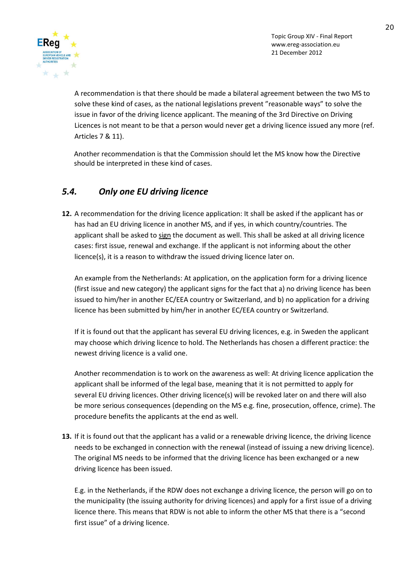

A recommendation is that there should be made a bilateral agreement between the two MS to solve these kind of cases, as the national legislations prevent "reasonable ways" to solve the issue in favor of the driving licence applicant. The meaning of the 3rd Directive on Driving Licences is not meant to be that a person would never get a driving licence issued any more (ref. Articles 7 & 11).

Another recommendation is that the Commission should let the MS know how the Directive should be interpreted in these kind of cases.

## *5.4. Only one EU driving licence*

**12.** A recommendation for the driving licence application: It shall be asked if the applicant has or has had an EU driving licence in another MS, and if yes, in which country/countries. The applicant shall be asked to sign the document as well. This shall be asked at all driving licence cases: first issue, renewal and exchange. If the applicant is not informing about the other licence(s), it is a reason to withdraw the issued driving licence later on.

An example from the Netherlands: At application, on the application form for a driving licence (first issue and new category) the applicant signs for the fact that a) no driving licence has been issued to him/her in another EC/EEA country or Switzerland, and b) no application for a driving licence has been submitted by him/her in another EC/EEA country or Switzerland.

If it is found out that the applicant has several EU driving licences, e.g. in Sweden the applicant may choose which driving licence to hold. The Netherlands has chosen a different practice: the newest driving licence is a valid one.

Another recommendation is to work on the awareness as well: At driving licence application the applicant shall be informed of the legal base, meaning that it is not permitted to apply for several EU driving licences. Other driving licence(s) will be revoked later on and there will also be more serious consequences (depending on the MS e.g. fine, prosecution, offence, crime). The procedure benefits the applicants at the end as well.

**13.** If it is found out that the applicant has a valid or a renewable driving licence, the driving licence needs to be exchanged in connection with the renewal (instead of issuing a new driving licence). The original MS needs to be informed that the driving licence has been exchanged or a new driving licence has been issued.

E.g. in the Netherlands, if the RDW does not exchange a driving licence, the person will go on to the municipality (the issuing authority for driving licences) and apply for a first issue of a driving licence there. This means that RDW is not able to inform the other MS that there is a "second first issue" of a driving licence.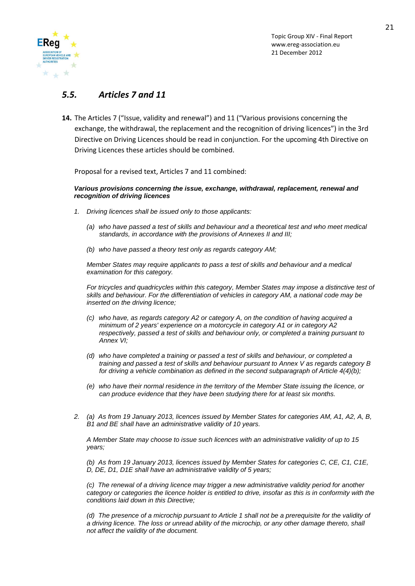

### *5.5. Articles 7 and 11*

**14.** The Articles 7 ("Issue, validity and renewal") and 11 ("Various provisions concerning the exchange, the withdrawal, the replacement and the recognition of driving licences") in the 3rd Directive on Driving Licences should be read in conjunction. For the upcoming 4th Directive on Driving Licences these articles should be combined.

Proposal for a revised text, Articles 7 and 11 combined:

#### *Various provisions concerning the issue, exchange, withdrawal, replacement, renewal and recognition of driving licences*

- *1. Driving licences shall be issued only to those applicants:*
	- *(a) who have passed a test of skills and behaviour and a theoretical test and who meet medical standards, in accordance with the provisions of Annexes II and III;*
	- *(b) who have passed a theory test only as regards category AM;*

*Member States may require applicants to pass a test of skills and behaviour and a medical examination for this category.* 

*For tricycles and quadricycles within this category, Member States may impose a distinctive test of skills and behaviour. For the differentiation of vehicles in category AM, a national code may be inserted on the driving licence;*

- *(c) who have, as regards category A2 or category A, on the condition of having acquired a minimum of 2 years' experience on a motorcycle in category A1 or in category A2 respectively, passed a test of skills and behaviour only, or completed a training pursuant to Annex VI;*
- *(d) who have completed a training or passed a test of skills and behaviour, or completed a training and passed a test of skills and behaviour pursuant to Annex V as regards category B for driving a vehicle combination as defined in the second subparagraph of Article 4(4)(b);*
- *(e) who have their normal residence in the territory of the Member State issuing the licence, or can produce evidence that they have been studying there for at least six months.*
- *2. (a) As from 19 January 2013, licences issued by Member States for categories AM, A1, A2, A, B, B1 and BE shall have an administrative validity of 10 years.*

*A Member State may choose to issue such licences with an administrative validity of up to 15 years;*

*(b) As from 19 January 2013, licences issued by Member States for categories C, CE, C1, C1E, D, DE, D1, D1E shall have an administrative validity of 5 years;*

*(c) The renewal of a driving licence may trigger a new administrative validity period for another category or categories the licence holder is entitled to drive, insofar as this is in conformity with the conditions laid down in this Directive;*

*(d) The presence of a microchip pursuant to Article 1 shall not be a prerequisite for the validity of a driving licence. The loss or unread ability of the microchip, or any other damage thereto, shall not affect the validity of the document.*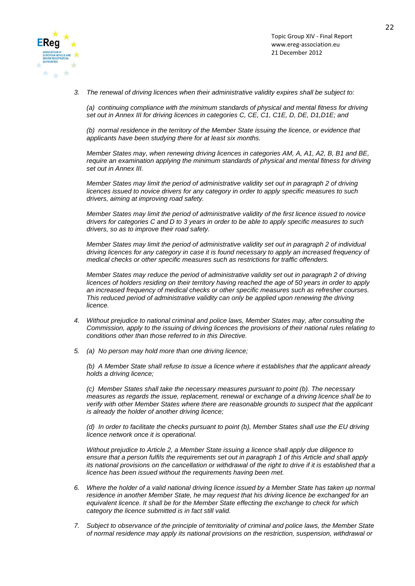

*3. The renewal of driving licences when their administrative validity expires shall be subject to:*

*(a) continuing compliance with the minimum standards of physical and mental fitness for driving set out in Annex III for driving licences in categories C, CE, C1, C1E, D, DE, D1,D1E; and*

*(b) normal residence in the territory of the Member State issuing the licence, or evidence that applicants have been studying there for at least six months.*

*Member States may, when renewing driving licences in categories AM, A, A1, A2, B, B1 and BE, require an examination applying the minimum standards of physical and mental fitness for driving set out in Annex III.*

*Member States may limit the period of administrative validity set out in paragraph 2 of driving licences issued to novice drivers for any category in order to apply specific measures to such drivers, aiming at improving road safety.*

*Member States may limit the period of administrative validity of the first licence issued to novice drivers for categories C and D to 3 years in order to be able to apply specific measures to such drivers, so as to improve their road safety.*

*Member States may limit the period of administrative validity set out in paragraph 2 of individual driving licences for any category in case it is found necessary to apply an increased frequency of medical checks or other specific measures such as restrictions for traffic offenders.*

*Member States may reduce the period of administrative validity set out in paragraph 2 of driving licences of holders residing on their territory having reached the age of 50 years in order to apply an increased frequency of medical checks or other specific measures such as refresher courses. This reduced period of administrative validity can only be applied upon renewing the driving licence.*

- *4. Without prejudice to national criminal and police laws, Member States may, after consulting the Commission, apply to the issuing of driving licences the provisions of their national rules relating to conditions other than those referred to in this Directive.*
- *5. (a) No person may hold more than one driving licence;*

*(b) A Member State shall refuse to issue a licence where it establishes that the applicant already holds a driving licence;*

*(c) Member States shall take the necessary measures pursuant to point (b). The necessary measures as regards the issue, replacement, renewal or exchange of a driving licence shall be to verify with other Member States where there are reasonable grounds to suspect that the applicant is already the holder of another driving licence;*

*(d) In order to facilitate the checks pursuant to point (b), Member States shall use the EU driving licence network once it is operational.*

*Without prejudice to Article 2, a Member State issuing a licence shall apply due diligence to ensure that a person fulfils the requirements set out in paragraph 1 of this Article and shall apply its national provisions on the cancellation or withdrawal of the right to drive if it is established that a licence has been issued without the requirements having been met.*

- *6. Where the holder of a valid national driving licence issued by a Member State has taken up normal residence in another Member State, he may request that his driving licence be exchanged for an equivalent licence. It shall be for the Member State effecting the exchange to check for which category the licence submitted is in fact still valid.*
- *7. Subject to observance of the principle of territoriality of criminal and police laws, the Member State of normal residence may apply its national provisions on the restriction, suspension, withdrawal or*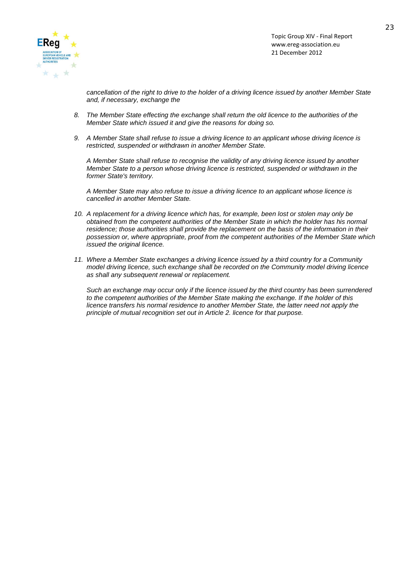

*cancellation of the right to drive to the holder of a driving licence issued by another Member State and, if necessary, exchange the*

- *8. The Member State effecting the exchange shall return the old licence to the authorities of the Member State which issued it and give the reasons for doing so.*
- *9. A Member State shall refuse to issue a driving licence to an applicant whose driving licence is restricted, suspended or withdrawn in another Member State.*

*A Member State shall refuse to recognise the validity of any driving licence issued by another Member State to a person whose driving licence is restricted, suspended or withdrawn in the former State's territory.*

*A Member State may also refuse to issue a driving licence to an applicant whose licence is cancelled in another Member State.*

- *10. A replacement for a driving licence which has, for example, been lost or stolen may only be obtained from the competent authorities of the Member State in which the holder has his normal residence; those authorities shall provide the replacement on the basis of the information in their possession or, where appropriate, proof from the competent authorities of the Member State which issued the original licence.*
- *11. Where a Member State exchanges a driving licence issued by a third country for a Community model driving licence, such exchange shall be recorded on the Community model driving licence as shall any subsequent renewal or replacement.*

*Such an exchange may occur only if the licence issued by the third country has been surrendered to the competent authorities of the Member State making the exchange. If the holder of this licence transfers his normal residence to another Member State, the latter need not apply the principle of mutual recognition set out in Article 2. licence for that purpose.*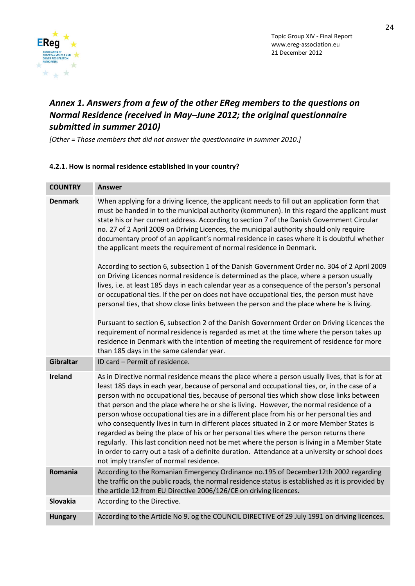

# *Annex 1. Answers from a few of the other EReg members to the questions on Normal Residence (received in May─June 2012; the original questionnaire submitted in summer 2010)*

*[Other = Those members that did not answer the questionnaire in summer 2010.]*

### **4.2.1. How is normal residence established in your country?**

| <b>COUNTRY</b> | <b>Answer</b>                                                                                                                                                                                                                                                                                                                                                                                                                                                                                                                                                                                                                                                                                                                                                                                                                                                                                                                                                                                                                                                                                                                                                                                                                                                                                                                                                                    |
|----------------|----------------------------------------------------------------------------------------------------------------------------------------------------------------------------------------------------------------------------------------------------------------------------------------------------------------------------------------------------------------------------------------------------------------------------------------------------------------------------------------------------------------------------------------------------------------------------------------------------------------------------------------------------------------------------------------------------------------------------------------------------------------------------------------------------------------------------------------------------------------------------------------------------------------------------------------------------------------------------------------------------------------------------------------------------------------------------------------------------------------------------------------------------------------------------------------------------------------------------------------------------------------------------------------------------------------------------------------------------------------------------------|
| <b>Denmark</b> | When applying for a driving licence, the applicant needs to fill out an application form that<br>must be handed in to the municipal authority (kommunen). In this regard the applicant must<br>state his or her current address. According to section 7 of the Danish Government Circular<br>no. 27 of 2 April 2009 on Driving Licences, the municipal authority should only require<br>documentary proof of an applicant's normal residence in cases where it is doubtful whether<br>the applicant meets the requirement of normal residence in Denmark.<br>According to section 6, subsection 1 of the Danish Government Order no. 304 of 2 April 2009<br>on Driving Licences normal residence is determined as the place, where a person usually<br>lives, i.e. at least 185 days in each calendar year as a consequence of the person's personal<br>or occupational ties. If the per on does not have occupational ties, the person must have<br>personal ties, that show close links between the person and the place where he is living.<br>Pursuant to section 6, subsection 2 of the Danish Government Order on Driving Licences the<br>requirement of normal residence is regarded as met at the time where the person takes up<br>residence in Denmark with the intention of meeting the requirement of residence for more<br>than 185 days in the same calendar year. |
| Gibraltar      | ID card - Permit of residence.                                                                                                                                                                                                                                                                                                                                                                                                                                                                                                                                                                                                                                                                                                                                                                                                                                                                                                                                                                                                                                                                                                                                                                                                                                                                                                                                                   |
| <b>Ireland</b> | As in Directive normal residence means the place where a person usually lives, that is for at<br>least 185 days in each year, because of personal and occupational ties, or, in the case of a<br>person with no occupational ties, because of personal ties which show close links between<br>that person and the place where he or she is living. However, the normal residence of a<br>person whose occupational ties are in a different place from his or her personal ties and<br>who consequently lives in turn in different places situated in 2 or more Member States is<br>regarded as being the place of his or her personal ties where the person returns there<br>regularly. This last condition need not be met where the person is living in a Member State<br>in order to carry out a task of a definite duration. Attendance at a university or school does<br>not imply transfer of normal residence.                                                                                                                                                                                                                                                                                                                                                                                                                                                            |
| Romania        | According to the Romanian Emergency Ordinance no.195 of December12th 2002 regarding<br>the traffic on the public roads, the normal residence status is established as it is provided by<br>the article 12 from EU Directive 2006/126/CE on driving licences.                                                                                                                                                                                                                                                                                                                                                                                                                                                                                                                                                                                                                                                                                                                                                                                                                                                                                                                                                                                                                                                                                                                     |
| Slovakia       | According to the Directive.                                                                                                                                                                                                                                                                                                                                                                                                                                                                                                                                                                                                                                                                                                                                                                                                                                                                                                                                                                                                                                                                                                                                                                                                                                                                                                                                                      |
| <b>Hungary</b> | According to the Article No 9. og the COUNCIL DIRECTIVE of 29 July 1991 on driving licences.                                                                                                                                                                                                                                                                                                                                                                                                                                                                                                                                                                                                                                                                                                                                                                                                                                                                                                                                                                                                                                                                                                                                                                                                                                                                                     |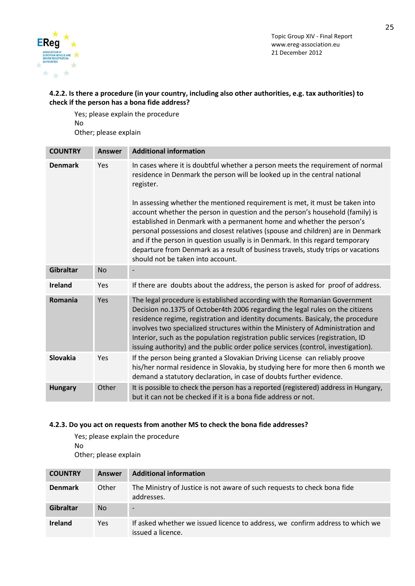



### **4.2.2. Is there a procedure (in your country, including also other authorities, e.g. tax authorities) to check if the person has a bona fide address?**

Yes; please explain the procedure No Other; please explain

| <b>COUNTRY</b>   | <b>Answer</b> | <b>Additional information</b>                                                                                                                                                                                                                                                                                                                                                                                                                                                                                                       |
|------------------|---------------|-------------------------------------------------------------------------------------------------------------------------------------------------------------------------------------------------------------------------------------------------------------------------------------------------------------------------------------------------------------------------------------------------------------------------------------------------------------------------------------------------------------------------------------|
| <b>Denmark</b>   | Yes           | In cases where it is doubtful whether a person meets the requirement of normal<br>residence in Denmark the person will be looked up in the central national<br>register.                                                                                                                                                                                                                                                                                                                                                            |
|                  |               | In assessing whether the mentioned requirement is met, it must be taken into<br>account whether the person in question and the person's household (family) is<br>established in Denmark with a permanent home and whether the person's<br>personal possessions and closest relatives (spouse and children) are in Denmark<br>and if the person in question usually is in Denmark. In this regard temporary<br>departure from Denmark as a result of business travels, study trips or vacations<br>should not be taken into account. |
| <b>Gibraltar</b> | <b>No</b>     |                                                                                                                                                                                                                                                                                                                                                                                                                                                                                                                                     |
| <b>Ireland</b>   | Yes           | If there are doubts about the address, the person is asked for proof of address.                                                                                                                                                                                                                                                                                                                                                                                                                                                    |
| Romania          | Yes           | The legal procedure is established according with the Romanian Government<br>Decision no.1375 of October4th 2006 regarding the legal rules on the citizens<br>residence regime, registration and identity documents. Basicaly, the procedure<br>involves two specialized structures within the Ministery of Administration and<br>Interior, such as the population registration public services (registration, ID<br>issuing authority) and the public order police services (control, investigation).                              |
| Slovakia         | Yes           | If the person being granted a Slovakian Driving License can reliably proove<br>his/her normal residence in Slovakia, by studying here for more then 6 month we<br>demand a statutory declaration, in case of doubts further evidence.                                                                                                                                                                                                                                                                                               |
| <b>Hungary</b>   | Other         | It is possible to check the person has a reported (registered) address in Hungary,<br>but it can not be checked if it is a bona fide address or not.                                                                                                                                                                                                                                                                                                                                                                                |

### **4.2.3. Do you act on requests from another MS to check the bona fide addresses?**

Yes; please explain the procedure No Other; please explain

| <b>COUNTRY</b> | Answer | <b>Additional information</b>                                                                      |
|----------------|--------|----------------------------------------------------------------------------------------------------|
| <b>Denmark</b> | Other  | The Ministry of Justice is not aware of such requests to check bona fide<br>addresses.             |
| Gibraltar      | No.    | $\overline{\phantom{0}}$                                                                           |
| <b>Ireland</b> | Yes.   | If asked whether we issued licence to address, we confirm address to which we<br>issued a licence. |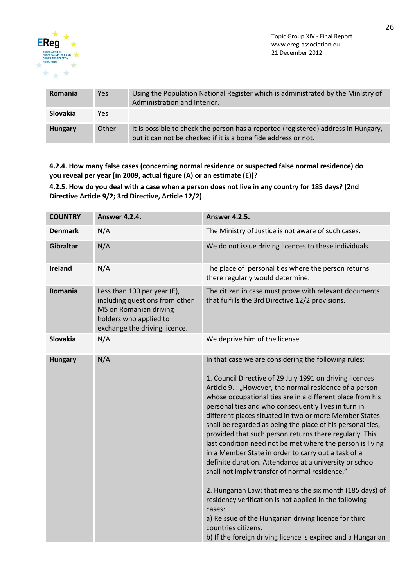

| <b>Romania</b>  | Yes   | Using the Population National Register which is administrated by the Ministry of<br>Administration and Interior.                                     |
|-----------------|-------|------------------------------------------------------------------------------------------------------------------------------------------------------|
| <b>Slovakia</b> | Yes   |                                                                                                                                                      |
| <b>Hungary</b>  | Other | It is possible to check the person has a reported (registered) address in Hungary,<br>but it can not be checked if it is a bona fide address or not. |

**4.2.4. How many false cases (concerning normal residence or suspected false normal residence) do you reveal per year [in 2009, actual figure (A) or an estimate (E)]?**

**4.2.5. How do you deal with a case when a person does not live in any country for 185 days? (2nd Directive Article 9/2; 3rd Directive, Article 12/2)**

| <b>COUNTRY</b>   | <b>Answer 4.2.4.</b>                                                                                                                               | <b>Answer 4.2.5.</b>                                                                                                                                                                                                                                                                                                                                                                                                                                                                                                                                                                                                                                                                                                                                                                                                                                                                                                                                                                                |
|------------------|----------------------------------------------------------------------------------------------------------------------------------------------------|-----------------------------------------------------------------------------------------------------------------------------------------------------------------------------------------------------------------------------------------------------------------------------------------------------------------------------------------------------------------------------------------------------------------------------------------------------------------------------------------------------------------------------------------------------------------------------------------------------------------------------------------------------------------------------------------------------------------------------------------------------------------------------------------------------------------------------------------------------------------------------------------------------------------------------------------------------------------------------------------------------|
| <b>Denmark</b>   | N/A                                                                                                                                                | The Ministry of Justice is not aware of such cases.                                                                                                                                                                                                                                                                                                                                                                                                                                                                                                                                                                                                                                                                                                                                                                                                                                                                                                                                                 |
| <b>Gibraltar</b> | N/A                                                                                                                                                | We do not issue driving licences to these individuals.                                                                                                                                                                                                                                                                                                                                                                                                                                                                                                                                                                                                                                                                                                                                                                                                                                                                                                                                              |
| <b>Ireland</b>   | N/A                                                                                                                                                | The place of personal ties where the person returns<br>there regularly would determine.                                                                                                                                                                                                                                                                                                                                                                                                                                                                                                                                                                                                                                                                                                                                                                                                                                                                                                             |
| Romania          | Less than 100 per year (E),<br>including questions from other<br>MS on Romanian driving<br>holders who applied to<br>exchange the driving licence. | The citizen in case must prove with relevant documents<br>that fulfills the 3rd Directive 12/2 provisions.                                                                                                                                                                                                                                                                                                                                                                                                                                                                                                                                                                                                                                                                                                                                                                                                                                                                                          |
| <b>Slovakia</b>  | N/A                                                                                                                                                | We deprive him of the license.                                                                                                                                                                                                                                                                                                                                                                                                                                                                                                                                                                                                                                                                                                                                                                                                                                                                                                                                                                      |
| <b>Hungary</b>   | N/A                                                                                                                                                | In that case we are considering the following rules:<br>1. Council Directive of 29 July 1991 on driving licences<br>Article 9. : "However, the normal residence of a person<br>whose occupational ties are in a different place from his<br>personal ties and who consequently lives in turn in<br>different places situated in two or more Member States<br>shall be regarded as being the place of his personal ties,<br>provided that such person returns there regularly. This<br>last condition need not be met where the person is living<br>in a Member State in order to carry out a task of a<br>definite duration. Attendance at a university or school<br>shall not imply transfer of normal residence."<br>2. Hungarian Law: that means the six month (185 days) of<br>residency verification is not applied in the following<br>cases:<br>a) Reissue of the Hungarian driving licence for third<br>countries citizens.<br>b) If the foreign driving licence is expired and a Hungarian |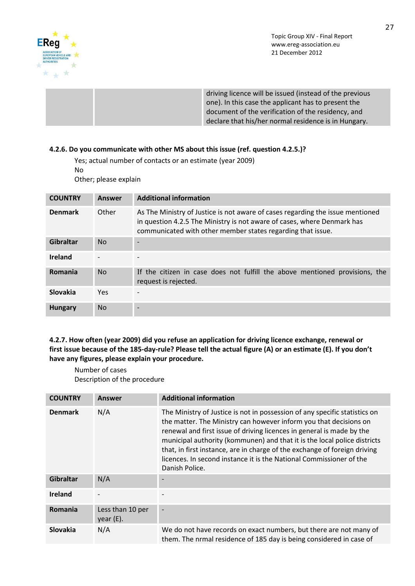

driving licence will be issued (instead of the previous one). In this case the applicant has to present the document of the verification of the residency, and declare that his/her normal residence is in Hungary.

### **4.2.6. Do you communicate with other MS about this issue (ref. question 4.2.5.)?**

Yes; actual number of contacts or an estimate (year 2009)

No

Other; please explain

| <b>COUNTRY</b>  | Answer         | <b>Additional information</b>                                                                                                                                                                                            |
|-----------------|----------------|--------------------------------------------------------------------------------------------------------------------------------------------------------------------------------------------------------------------------|
| <b>Denmark</b>  | Other          | As The Ministry of Justice is not aware of cases regarding the issue mentioned<br>in question 4.2.5 The Ministry is not aware of cases, where Denmark has<br>communicated with other member states regarding that issue. |
| Gibraltar       | N <sub>o</sub> |                                                                                                                                                                                                                          |
| <b>Ireland</b>  |                |                                                                                                                                                                                                                          |
| Romania         | N <sub>o</sub> | If the citizen in case does not fulfill the above mentioned provisions, the<br>request is rejected.                                                                                                                      |
| <b>Slovakia</b> | <b>Yes</b>     |                                                                                                                                                                                                                          |
| <b>Hungary</b>  | N <sub>o</sub> |                                                                                                                                                                                                                          |

### **4.2.7. How often (year 2009) did you refuse an application for driving licence exchange, renewal or first issue because of the 185-day-rule? Please tell the actual figure (A) or an estimate (E). If you don't have any figures, please explain your procedure.**

Number of cases Description of the procedure

| <b>COUNTRY</b>   | <b>Answer</b>                | <b>Additional information</b>                                                                                                                                                                                                                                                                                                                                                                                                                                              |
|------------------|------------------------------|----------------------------------------------------------------------------------------------------------------------------------------------------------------------------------------------------------------------------------------------------------------------------------------------------------------------------------------------------------------------------------------------------------------------------------------------------------------------------|
| <b>Denmark</b>   | N/A                          | The Ministry of Justice is not in possession of any specific statistics on<br>the matter. The Ministry can however inform you that decisions on<br>renewal and first issue of driving licences in general is made by the<br>municipal authority (kommunen) and that it is the local police districts<br>that, in first instance, are in charge of the exchange of foreign driving<br>licences. In second instance it is the National Commissioner of the<br>Danish Police. |
| <b>Gibraltar</b> | N/A                          |                                                                                                                                                                                                                                                                                                                                                                                                                                                                            |
| <b>Ireland</b>   |                              |                                                                                                                                                                                                                                                                                                                                                                                                                                                                            |
| Romania          | Less than 10 per<br>year(E). |                                                                                                                                                                                                                                                                                                                                                                                                                                                                            |
| Slovakia         | N/A                          | We do not have records on exact numbers, but there are not many of<br>them. The nrmal residence of 185 day is being considered in case of                                                                                                                                                                                                                                                                                                                                  |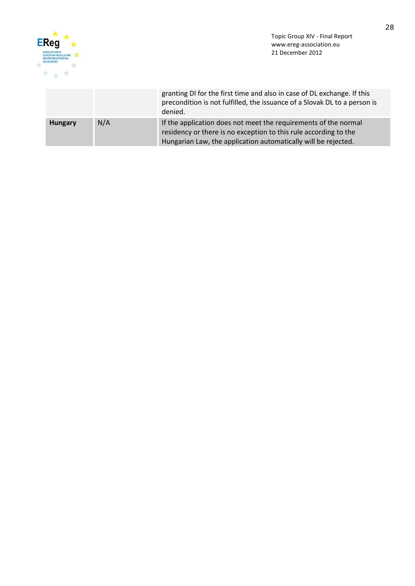

|                |     | granting DI for the first time and also in case of DL exchange. If this<br>precondition is not fulfilled, the issuance of a Slovak DL to a person is<br>denied.                                       |
|----------------|-----|-------------------------------------------------------------------------------------------------------------------------------------------------------------------------------------------------------|
| <b>Hungary</b> | N/A | If the application does not meet the requirements of the normal<br>residency or there is no exception to this rule according to the<br>Hungarian Law, the application automatically will be rejected. |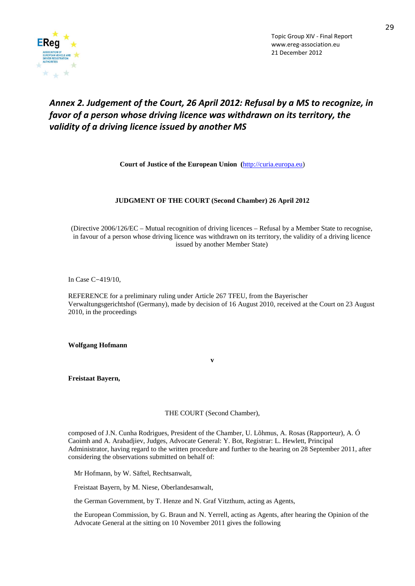

# *Annex 2. Judgement of the Court, 26 April 2012: Refusal by a MS to recognize, in favor of a person whose driving licence was withdrawn on its territory, the validity of a driving licence issued by another MS*

**Court of Justice of the European Union (**[http://curia.europa.eu\)](http://curia.europa.eu/)

#### **JUDGMENT OF THE COURT (Second Chamber) 26 April 2012**

(Directive 2006/126/EC – Mutual recognition of driving licences – Refusal by a Member State to recognise, in favour of a person whose driving licence was withdrawn on its territory, the validity of a driving licence issued by another Member State)

In Case C-419/10,

REFERENCE for a preliminary ruling under Article 267 TFEU, from the Bayerischer Verwaltungsgerichtshof (Germany), made by decision of 16 August 2010, received at the Court on 23 August 2010, in the proceedings

**Wolfgang Hofmann**

**Freistaat Bayern,** 

THE COURT (Second Chamber),

**v**

composed of J.N. Cunha Rodrigues, President of the Chamber, U. Lõhmus, A. Rosas (Rapporteur), A. Ó Caoimh and A. Arabadjiev, Judges, Advocate General: Y. Bot, Registrar: L. Hewlett, Principal Administrator, having regard to the written procedure and further to the hearing on 28 September 2011, after considering the observations submitted on behalf of:

Mr Hofmann, by W. Säftel, Rechtsanwalt,

Freistaat Bayern, by M. Niese, Oberlandesanwalt,

the German Government, by T. Henze and N. Graf Vitzthum, acting as Agents,

the European Commission, by G. Braun and N. Yerrell, acting as Agents, after hearing the Opinion of the Advocate General at the sitting on 10 November 2011 gives the following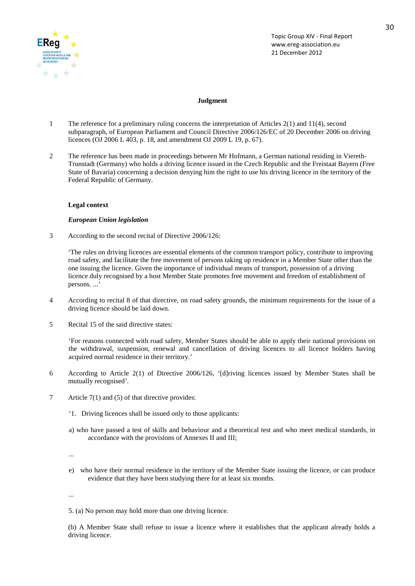

#### **Judgment**

- 1 The reference for a preliminary ruling concerns the interpretation of Articles 2(1) and 11(4), second subparagraph, of European Parliament and Council Directive 2006/126/EC of 20 December 2006 on driving licences (OJ 2006 L 403, p. 18, and amendment OJ 2009 L 19, p. 67).
- 2 The reference has been made in proceedings between Mr Hofmann, a German national residing in Viereth-Trunstadt (Germany) who holds a driving licence issued in the Czech Republic and the Freistaat Bayern (Free State of Bavaria) concerning a decision denying him the right to use his driving licence in the territory of the Federal Republic of Germany.

#### **Legal context**

#### *European Union legislation*

3 According to the second recital of Directive 2006/126:

'The rules on driving licences are essential elements of the common transport policy, contribute to improving road safety, and facilitate the free movement of persons taking up residence in a Member State other than the one issuing the licence. Given the importance of individual means of transport, possession of a driving licence duly recognised by a host Member State promotes free movement and freedom of establishment of persons. ...'

- 4 According to recital 8 of that directive, on road safety grounds, the minimum requirements for the issue of a driving licence should be laid down.
- 5 Recital 15 of the said directive states:

'For reasons connected with road safety, Member States should be able to apply their national provisions on the withdrawal, suspension, renewal and cancellation of driving licences to all licence holders having acquired normal residence in their territory.'

- 6 According to Article 2(1) of Directive 2006/126, '[d]riving licences issued by Member States shall be mutually recognised'.
- 7 Article 7(1) and (5) of that directive provides:
	- '1. Driving licences shall be issued only to those applicants:
	- a) who have passed a test of skills and behaviour and a theoretical test and who meet medical standards, in accordance with the provisions of Annexes II and III;

...

e) who have their normal residence in the territory of the Member State issuing the licence, or can produce evidence that they have been studying there for at least six months.

...

5. (a) No person may hold more than one driving licence.

(b) A Member State shall refuse to issue a licence where it establishes that the applicant already holds a driving licence.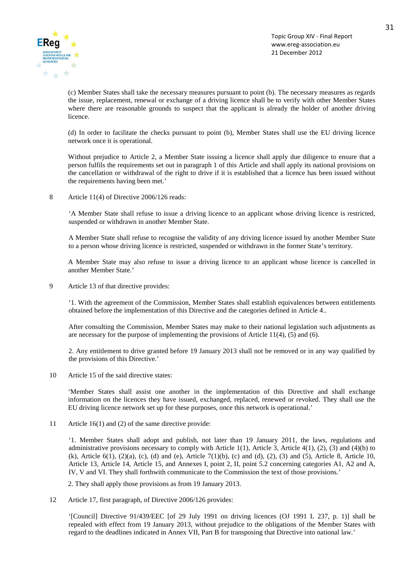![](_page_30_Picture_0.jpeg)

(c) Member States shall take the necessary measures pursuant to point (b). The necessary measures as regards the issue, replacement, renewal or exchange of a driving licence shall be to verify with other Member States where there are reasonable grounds to suspect that the applicant is already the holder of another driving licence.

(d) In order to facilitate the checks pursuant to point (b), Member States shall use the EU driving licence network once it is operational.

Without prejudice to Article 2, a Member State issuing a licence shall apply due diligence to ensure that a person fulfils the requirements set out in paragraph 1 of this Article and shall apply its national provisions on the cancellation or withdrawal of the right to drive if it is established that a licence has been issued without the requirements having been met.'

8 Article 11(4) of Directive 2006/126 reads:

'A Member State shall refuse to issue a driving licence to an applicant whose driving licence is restricted, suspended or withdrawn in another Member State.

A Member State shall refuse to recognise the validity of any driving licence issued by another Member State to a person whose driving licence is restricted, suspended or withdrawn in the former State's territory.

A Member State may also refuse to issue a driving licence to an applicant whose licence is cancelled in another Member State.'

9 Article 13 of that directive provides:

'1. With the agreement of the Commission, Member States shall establish equivalences between entitlements obtained before the implementation of this Directive and the categories defined in Article 4..

After consulting the Commission, Member States may make to their national legislation such adjustments as are necessary for the purpose of implementing the provisions of Article 11(4), (5) and (6).

2. Any entitlement to drive granted before 19 January 2013 shall not be removed or in any way qualified by the provisions of this Directive.'

10 Article 15 of the said directive states:

'Member States shall assist one another in the implementation of this Directive and shall exchange information on the licences they have issued, exchanged, replaced, renewed or revoked. They shall use the EU driving licence network set up for these purposes, once this network is operational.'

11 Article 16(1) and (2) of the same directive provide:

'1. Member States shall adopt and publish, not later than 19 January 2011, the laws, regulations and administrative provisions necessary to comply with Article 1(1), Article 3, Article 4(1), (2), (3) and (4)(b) to (k), Article 6(1), (2)(a), (c), (d) and (e), Article 7(1)(b), (c) and (d), (2), (3) and (5), Article 8, Article 10, Article 13, Article 14, Article 15, and Annexes I, point 2, II, point 5.2 concerning categories A1, A2 and A, IV, V and VI. They shall forthwith communicate to the Commission the text of those provisions.'

2. They shall apply those provisions as from 19 January 2013.

12 Article 17, first paragraph, of Directive 2006/126 provides:

'[Council] Directive 91/439/EEC [of 29 July 1991 on driving licences (OJ 1991 L 237, p. 1)] shall be repealed with effect from 19 January 2013, without prejudice to the obligations of the Member States with regard to the deadlines indicated in Annex VII, Part B for transposing that Directive into national law.'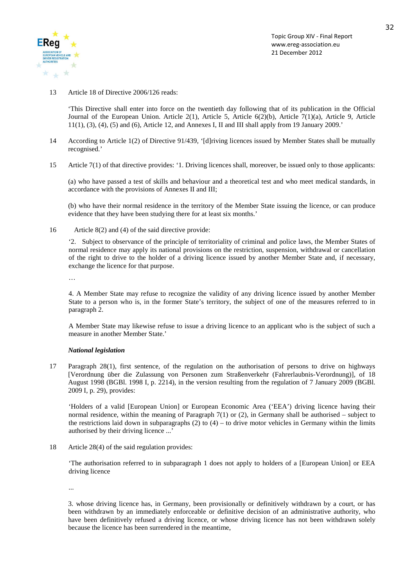![](_page_31_Picture_0.jpeg)

13 Article 18 of Directive 2006/126 reads:

'This Directive shall enter into force on the twentieth day following that of its publication in the Official Journal of the European Union. Article 2(1), Article 5, Article 6(2)(b), Article 7(1)(a), Article 9, Article  $11(1)$ ,  $(3)$ ,  $(4)$ ,  $(5)$  and  $(6)$ , Article 12, and Annexes I, II and III shall apply from 19 January 2009.'

- 14 According to Article 1(2) of Directive 91/439, '[d]riving licences issued by Member States shall be mutually recognised.'
- 15 Article 7(1) of that directive provides: '1. Driving licences shall, moreover, be issued only to those applicants:

(a) who have passed a test of skills and behaviour and a theoretical test and who meet medical standards, in accordance with the provisions of Annexes II and III;

(b) who have their normal residence in the territory of the Member State issuing the licence, or can produce evidence that they have been studying there for at least six months.'

16 Article 8(2) and (4) of the said directive provide:

'2. Subject to observance of the principle of territoriality of criminal and police laws, the Member States of normal residence may apply its national provisions on the restriction, suspension, withdrawal or cancellation of the right to drive to the holder of a driving licence issued by another Member State and, if necessary, exchange the licence for that purpose.

…

4. A Member State may refuse to recognize the validity of any driving licence issued by another Member State to a person who is, in the former State's territory, the subject of one of the measures referred to in paragraph 2.

A Member State may likewise refuse to issue a driving licence to an applicant who is the subject of such a measure in another Member State.'

#### *National legislation*

17 Paragraph 28(1), first sentence, of the regulation on the authorisation of persons to drive on highways [Verordnung über die Zulassung von Personen zum Straßenverkehr (Fahrerlaubnis-Verordnung)], of 18 August 1998 (BGBl. 1998 I, p. 2214), in the version resulting from the regulation of 7 January 2009 (BGBl. 2009 I, p. 29), provides:

'Holders of a valid [European Union] or European Economic Area ('EEA') driving licence having their normal residence, within the meaning of Paragraph 7(1) or (2), in Germany shall be authorised – subject to the restrictions laid down in subparagraphs  $(2)$  to  $(4)$  – to drive motor vehicles in Germany within the limits authorised by their driving licence ...'

18 Article 28(4) of the said regulation provides:

'The authorisation referred to in subparagraph 1 does not apply to holders of a [European Union] or EEA driving licence

...

3. whose driving licence has, in Germany, been provisionally or definitively withdrawn by a court, or has been withdrawn by an immediately enforceable or definitive decision of an administrative authority, who have been definitively refused a driving licence, or whose driving licence has not been withdrawn solely because the licence has been surrendered in the meantime,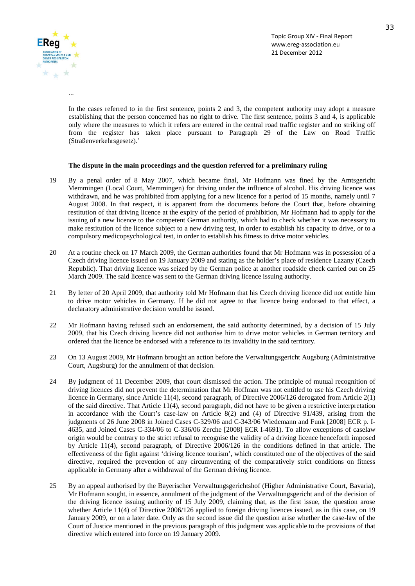![](_page_32_Picture_0.jpeg)

...

Topic Group XIV - Final Report www.ereg-association.eu 21 December 2012

In the cases referred to in the first sentence, points 2 and 3, the competent authority may adopt a measure establishing that the person concerned has no right to drive. The first sentence, points 3 and 4, is applicable only where the measures to which it refers are entered in the central road traffic register and no striking off from the register has taken place pursuant to Paragraph 29 of the Law on Road Traffic (Straßenverkehrsgesetz).'

#### **The dispute in the main proceedings and the question referred for a preliminary ruling**

- 19 By a penal order of 8 May 2007, which became final, Mr Hofmann was fined by the Amtsgericht Memmingen (Local Court, Memmingen) for driving under the influence of alcohol. His driving licence was withdrawn, and he was prohibited from applying for a new licence for a period of 15 months, namely until 7 August 2008. In that respect, it is apparent from the documents before the Court that, before obtaining restitution of that driving licence at the expiry of the period of prohibition, Mr Hofmann had to apply for the issuing of a new licence to the competent German authority, which had to check whether it was necessary to make restitution of the licence subject to a new driving test, in order to establish his capacity to drive, or to a compulsory medicopsychological test, in order to establish his fitness to drive motor vehicles.
- 20 At a routine check on 17 March 2009, the German authorities found that Mr Hofmann was in possession of a Czech driving licence issued on 19 January 2009 and stating as the holder's place of residence Lazany (Czech Republic). That driving licence was seized by the German police at another roadside check carried out on 25 March 2009. The said licence was sent to the German driving licence issuing authority.
- 21 By letter of 20 April 2009, that authority told Mr Hofmann that his Czech driving licence did not entitle him to drive motor vehicles in Germany. If he did not agree to that licence being endorsed to that effect, a declaratory administrative decision would be issued.
- 22 Mr Hofmann having refused such an endorsement, the said authority determined, by a decision of 15 July 2009, that his Czech driving licence did not authorise him to drive motor vehicles in German territory and ordered that the licence be endorsed with a reference to its invalidity in the said territory.
- 23 On 13 August 2009, Mr Hofmann brought an action before the Verwaltungsgericht Augsburg (Administrative Court, Augsburg) for the annulment of that decision.
- 24 By judgment of 11 December 2009, that court dismissed the action. The principle of mutual recognition of driving licences did not prevent the determination that Mr Hoffman was not entitled to use his Czech driving licence in Germany, since Article 11(4), second paragraph, of Directive 2006/126 derogated from Article 2(1) of the said directive. That Article 11(4), second paragraph, did not have to be given a restrictive interpretation in accordance with the Court's case-law on Article 8(2) and (4) of Directive 91/439, arising from the judgments of 26 June 2008 in Joined Cases C-329/06 and C-343/06 Wiedemann and Funk [2008] ECR p. I-4635, and Joined Cases C-334/06 to C-336/06 Zerche [2008] ECR I-4691). To allow exceptions of caselaw origin would be contrary to the strict refusal to recognise the validity of a driving licence henceforth imposed by Article 11(4), second paragraph, of Directive 2006/126 in the conditions defined in that article. The effectiveness of the fight against 'driving licence tourism', which constituted one of the objectives of the said directive, required the prevention of any circumventing of the comparatively strict conditions on fitness applicable in Germany after a withdrawal of the German driving licence.
- 25 By an appeal authorised by the Bayerischer Verwaltungsgerichtshof (Higher Administrative Court, Bavaria), Mr Hofmann sought, in essence, annulment of the judgment of the Verwaltungsgericht and of the decision of the driving licence issuing authority of 15 July 2009, claiming that, as the first issue, the question arose whether Article 11(4) of Directive 2006/126 applied to foreign driving licences issued, as in this case, on 19 January 2009, or on a later date. Only as the second issue did the question arise whether the case-law of the Court of Justice mentioned in the previous paragraph of this judgment was applicable to the provisions of that directive which entered into force on 19 January 2009.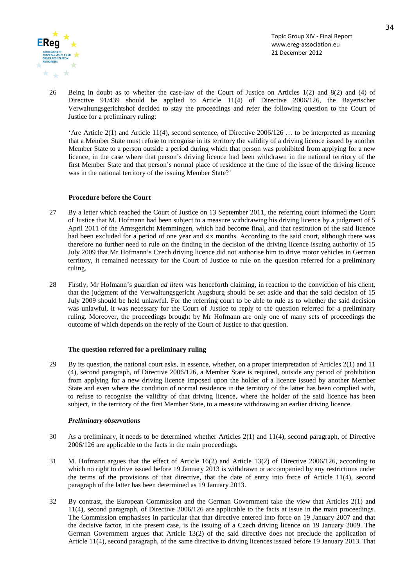![](_page_33_Picture_0.jpeg)

26 Being in doubt as to whether the case-law of the Court of Justice on Articles 1(2) and 8(2) and (4) of Directive 91/439 should be applied to Article 11(4) of Directive 2006/126, the Bayerischer Verwaltungsgerichtshof decided to stay the proceedings and refer the following question to the Court of Justice for a preliminary ruling:

'Are Article 2(1) and Article 11(4), second sentence, of Directive 2006/126 … to be interpreted as meaning that a Member State must refuse to recognise in its territory the validity of a driving licence issued by another Member State to a person outside a period during which that person was prohibited from applying for a new licence, in the case where that person's driving licence had been withdrawn in the national territory of the first Member State and that person's normal place of residence at the time of the issue of the driving licence was in the national territory of the issuing Member State?'

#### **Procedure before the Court**

- 27 By a letter which reached the Court of Justice on 13 September 2011, the referring court informed the Court of Justice that M. Hofmann had been subject to a measure withdrawing his driving licence by a judgment of 5 April 2011 of the Amtsgericht Memmingen, which had become final, and that restitution of the said licence had been excluded for a period of one year and six months. According to the said court, although there was therefore no further need to rule on the finding in the decision of the driving licence issuing authority of 15 July 2009 that Mr Hofmann's Czech driving licence did not authorise him to drive motor vehicles in German territory, it remained necessary for the Court of Justice to rule on the question referred for a preliminary ruling.
- 28 Firstly, Mr Hofmann's guardian *ad litem* was henceforth claiming, in reaction to the conviction of his client, that the judgment of the Verwaltungsgericht Augsburg should be set aside and that the said decision of 15 July 2009 should be held unlawful. For the referring court to be able to rule as to whether the said decision was unlawful, it was necessary for the Court of Justice to reply to the question referred for a preliminary ruling. Moreover, the proceedings brought by Mr Hofmann are only one of many sets of proceedings the outcome of which depends on the reply of the Court of Justice to that question.

#### **The question referred for a preliminary ruling**

29 By its question, the national court asks, in essence, whether, on a proper interpretation of Articles 2(1) and 11 (4), second paragraph, of Directive 2006/126, a Member State is required, outside any period of prohibition from applying for a new driving licence imposed upon the holder of a licence issued by another Member State and even where the condition of normal residence in the territory of the latter has been complied with, to refuse to recognise the validity of that driving licence, where the holder of the said licence has been subject, in the territory of the first Member State, to a measure withdrawing an earlier driving licence.

#### *Preliminary observations*

- 30 As a preliminary, it needs to be determined whether Articles 2(1) and 11(4), second paragraph, of Directive 2006/126 are applicable to the facts in the main proceedings.
- 31 M. Hofmann argues that the effect of Article 16(2) and Article 13(2) of Directive 2006/126, according to which no right to drive issued before 19 January 2013 is withdrawn or accompanied by any restrictions under the terms of the provisions of that directive, that the date of entry into force of Article 11(4), second paragraph of the latter has been determined as 19 January 2013.
- 32 By contrast, the European Commission and the German Government take the view that Articles 2(1) and 11(4), second paragraph, of Directive 2006/126 are applicable to the facts at issue in the main proceedings. The Commission emphasises in particular that that directive entered into force on 19 January 2007 and that the decisive factor, in the present case, is the issuing of a Czech driving licence on 19 January 2009. The German Government argues that Article 13(2) of the said directive does not preclude the application of Article 11(4), second paragraph, of the same directive to driving licences issued before 19 January 2013. That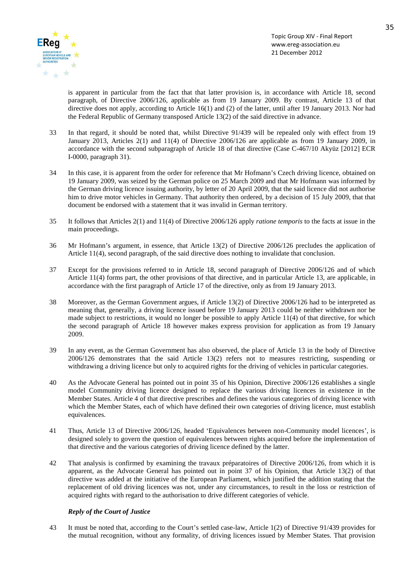![](_page_34_Picture_0.jpeg)

is apparent in particular from the fact that that latter provision is, in accordance with Article 18, second paragraph, of Directive 2006/126, applicable as from 19 January 2009. By contrast, Article 13 of that directive does not apply, according to Article 16(1) and (2) of the latter, until after 19 January 2013. Nor had the Federal Republic of Germany transposed Article 13(2) of the said directive in advance.

- 33 In that regard, it should be noted that, whilst Directive 91/439 will be repealed only with effect from 19 January 2013, Articles 2(1) and 11(4) of Directive 2006/126 are applicable as from 19 January 2009, in accordance with the second subparagraph of Article 18 of that directive (Case C-467/10 Akyüz [2012] ECR I-0000, paragraph 31).
- 34 In this case, it is apparent from the order for reference that Mr Hofmann's Czech driving licence, obtained on 19 January 2009, was seized by the German police on 25 March 2009 and that Mr Hofmann was informed by the German driving licence issuing authority, by letter of 20 April 2009, that the said licence did not authorise him to drive motor vehicles in Germany. That authority then ordered, by a decision of 15 July 2009, that that document be endorsed with a statement that it was invalid in German territory.
- 35 It follows that Articles 2(1) and 11(4) of Directive 2006/126 apply *ratione temporis* to the facts at issue in the main proceedings.
- 36 Mr Hofmann's argument, in essence, that Article 13(2) of Directive 2006/126 precludes the application of Article 11(4), second paragraph, of the said directive does nothing to invalidate that conclusion.
- 37 Except for the provisions referred to in Article 18, second paragraph of Directive 2006/126 and of which Article 11(4) forms part, the other provisions of that directive, and in particular Article 13, are applicable, in accordance with the first paragraph of Article 17 of the directive, only as from 19 January 2013.
- 38 Moreover, as the German Government argues, if Article 13(2) of Directive 2006/126 had to be interpreted as meaning that, generally, a driving licence issued before 19 January 2013 could be neither withdrawn nor be made subject to restrictions, it would no longer be possible to apply Article 11(4) of that directive, for which the second paragraph of Article 18 however makes express provision for application as from 19 January 2009.
- 39 In any event, as the German Government has also observed, the place of Article 13 in the body of Directive 2006/126 demonstrates that the said Article 13(2) refers not to measures restricting, suspending or withdrawing a driving licence but only to acquired rights for the driving of vehicles in particular categories.
- 40 As the Advocate General has pointed out in point 35 of his Opinion, Directive 2006/126 establishes a single model Community driving licence designed to replace the various driving licences in existence in the Member States. Article 4 of that directive prescribes and defines the various categories of driving licence with which the Member States, each of which have defined their own categories of driving licence, must establish equivalences.
- 41 Thus, Article 13 of Directive 2006/126, headed 'Equivalences between non-Community model licences', is designed solely to govern the question of equivalences between rights acquired before the implementation of that directive and the various categories of driving licence defined by the latter.
- 42 That analysis is confirmed by examining the travaux préparatoires of Directive 2006/126, from which it is apparent, as the Advocate General has pointed out in point 37 of his Opinion, that Article 13(2) of that directive was added at the initiative of the European Parliament, which justified the addition stating that the replacement of old driving licences was not, under any circumstances, to result in the loss or restriction of acquired rights with regard to the authorisation to drive different categories of vehicle.

#### *Reply of the Court of Justice*

43 It must be noted that, according to the Court's settled case-law, Article 1(2) of Directive 91/439 provides for the mutual recognition, without any formality, of driving licences issued by Member States. That provision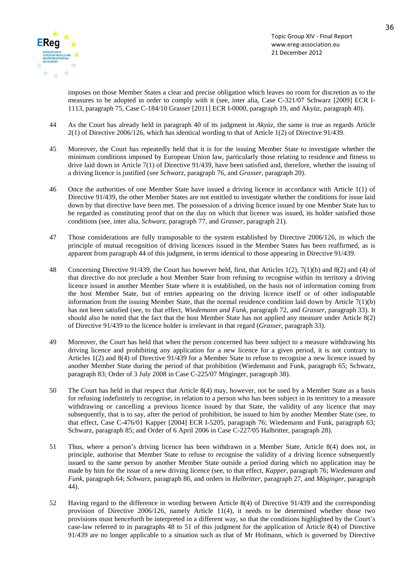![](_page_35_Picture_0.jpeg)

imposes on those Member States a clear and precise obligation which leaves no room for discretion as to the measures to be adopted in order to comply with it (see, inter alia, Case C-321/07 Schwarz [2009] ECR I-1113, paragraph 75, Case C-184/10 Grasser [2011] ECR I-0000, paragraph 19, and Akyüz, paragraph 40).

- 44 As the Court has already held in paragraph 40 of its judgment in *Akyüz*, the same is true as regards Article 2(1) of Directive 2006/126, which has identical wording to that of Article 1(2) of Directive 91/439.
- 45 Moreover, the Court has repeatedly held that it is for the issuing Member State to investigate whether the minimum conditions imposed by European Union law, particularly those relating to residence and fitness to drive laid down in Article 7(1) of Directive 91/439, have been satisfied and, therefore, whether the issuing of a driving licence is justified (see *Schwarz*, paragraph 76, and *Grasser*, paragraph 20).
- 46 Once the authorities of one Member State have issued a driving licence in accordance with Article 1(1) of Directive 91/439, the other Member States are not entitled to investigate whether the conditions for issue laid down by that directive have been met. The possession of a driving licence issued by one Member State has to be regarded as constituting proof that on the day on which that licence was issued, its holder satisfied those conditions (see, inter alia, *Schwarz*, paragraph 77, and *Grasser*, paragraph 21).
- 47 Those considerations are fully transposable to the system established by Directive 2006/126, in which the principle of mutual recognition of driving licences issued in the Member States has been reaffirmed, as is apparent from paragraph 44 of this judgment, in terms identical to those appearing in Directive 91/439.
- 48 Concerning Directive 91/439, the Court has however held, first, that Articles 1(2), 7(1)(b) and 8(2) and (4) of that directive do not preclude a host Member State from refusing to recognise within its territory a driving licence issued in another Member State where it is established, on the basis not of information coming from the host Member State, but of entries appearing on the driving licence itself or of other indisputable information from the issuing Member State, that the normal residence condition laid down by Article 7(1)(b) has not been satisfied (see, to that effect, *Wiedemann and Funk*, paragraph 72, and *Grasser*, paragraph 33). It should also be noted that the fact that the host Member State has not applied any measure under Article 8(2) of Directive 91/439 to the licence holder is irrelevant in that regard (*Grasser*, paragraph 33).
- 49 Moreover, the Court has held that when the person concerned has been subject to a measure withdrawing his driving licence and prohibiting any application for a new licence for a given period, it is not contrary to Articles 1(2) and 8(4) of Directive 91/439 for a Member State to refuse to recognise a new licence issued by another Member State during the period of that prohibition (Wiedemann and Funk, paragraph 65; Schwarz, paragraph 83; Order of 3 July 2008 in Case C-225/07 Möginger, paragraph 38).
- 50 The Court has held in that respect that Article 8(4) may, however, not be used by a Member State as a basis for refusing indefinitely to recognise, in relation to a person who has been subject in its territory to a measure withdrawing or cancelling a previous licence issued by that State, the validity of any licence that may subsequently, that is to say, after the period of prohibition, be issued to him by another Member State (see, to that effect, Case C-476/01 Kapper [2004] ECR I-5205, paragraph 76; Wiedemann and Funk, paragraph 63; Schwarz, paragraph 85; and Order of 6 April 2006 in Case C-227/05 Halbritter, paragraph 28).
- 51 Thus, where a person's driving licence has been withdrawn in a Member State, Article 8(4) does not, in principle, authorise that Member State to refuse to recognise the validity of a driving licence subsequently issued to the same person by another Member State outside a period during which no application may be made by him for the issue of a new driving licence (see, to that effect, *Kapper*, paragraph 76; *Wiedemann and Funk*, paragraph 64; *Schwarz*, paragraph 86, and orders in *Halbritter*, paragraph 27, and *Möginger*, paragraph 44).
- 52 Having regard to the difference in wording between Article 8(4) of Directive 91/439 and the corresponding provision of Directive 2006/126, namely Article 11(4), it needs to be determined whether those two provisions must henceforth be interpreted in a different way, so that the conditions highlighted by the Court's case-law referred to in paragraphs 48 to 51 of this judgment for the application of Article 8(4) of Directive 91/439 are no longer applicable to a situation such as that of Mr Hofmann, which is governed by Directive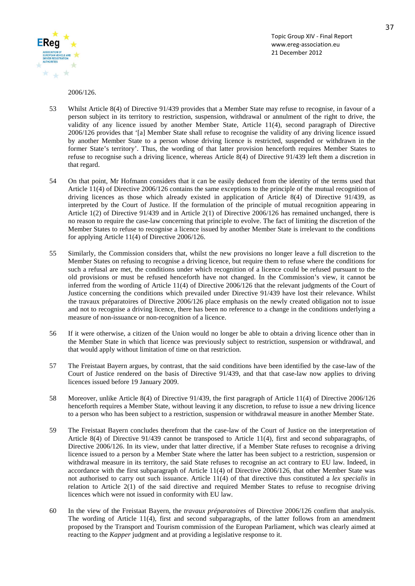![](_page_36_Picture_0.jpeg)

2006/126.

- 53 Whilst Article 8(4) of Directive 91/439 provides that a Member State may refuse to recognise, in favour of a person subject in its territory to restriction, suspension, withdrawal or annulment of the right to drive, the validity of any licence issued by another Member State, Article 11(4), second paragraph of Directive 2006/126 provides that '[a] Member State shall refuse to recognise the validity of any driving licence issued by another Member State to a person whose driving licence is restricted, suspended or withdrawn in the former State's territory'. Thus, the wording of that latter provision henceforth requires Member States to refuse to recognise such a driving licence, whereas Article 8(4) of Directive 91/439 left them a discretion in that regard.
- 54 On that point, Mr Hofmann considers that it can be easily deduced from the identity of the terms used that Article 11(4) of Directive 2006/126 contains the same exceptions to the principle of the mutual recognition of driving licences as those which already existed in application of Article 8(4) of Directive 91/439, as interpreted by the Court of Justice. If the formulation of the principle of mutual recognition appearing in Article 1(2) of Directive 91/439 and in Article 2(1) of Directive 2006/126 has remained unchanged, there is no reason to require the case-law concerning that principle to evolve. The fact of limiting the discretion of the Member States to refuse to recognise a licence issued by another Member State is irrelevant to the conditions for applying Article 11(4) of Directive 2006/126.
- 55 Similarly, the Commission considers that, whilst the new provisions no longer leave a full discretion to the Member States on refusing to recognise a driving licence, but require them to refuse where the conditions for such a refusal are met, the conditions under which recognition of a licence could be refused pursuant to the old provisions or must be refused henceforth have not changed. In the Commission's view, it cannot be inferred from the wording of Article 11(4) of Directive 2006/126 that the relevant judgments of the Court of Justice concerning the conditions which prevailed under Directive 91/439 have lost their relevance. Whilst the travaux préparatoires of Directive 2006/126 place emphasis on the newly created obligation not to issue and not to recognise a driving licence, there has been no reference to a change in the conditions underlying a measure of non-issuance or non-recognition of a licence.
- 56 If it were otherwise, a citizen of the Union would no longer be able to obtain a driving licence other than in the Member State in which that licence was previously subject to restriction, suspension or withdrawal, and that would apply without limitation of time on that restriction.
- 57 The Freistaat Bayern argues, by contrast, that the said conditions have been identified by the case-law of the Court of Justice rendered on the basis of Directive 91/439, and that that case-law now applies to driving licences issued before 19 January 2009.
- 58 Moreover, unlike Article 8(4) of Directive 91/439, the first paragraph of Article 11(4) of Directive 2006/126 henceforth requires a Member State, without leaving it any discretion, to refuse to issue a new driving licence to a person who has been subject to a restriction, suspension or withdrawal measure in another Member State.
- 59 The Freistaat Bayern concludes therefrom that the case-law of the Court of Justice on the interpretation of Article 8(4) of Directive 91/439 cannot be transposed to Article 11(4), first and second subparagraphs, of Directive 2006/126. In its view, under that latter directive, if a Member State refuses to recognise a driving licence issued to a person by a Member State where the latter has been subject to a restriction, suspension or withdrawal measure in its territory, the said State refuses to recognise an act contrary to EU law. Indeed, in accordance with the first subparagraph of Article 11(4) of Directive 2006/126, that other Member State was not authorised to carry out such issuance. Article 11(4) of that directive thus constituted a *lex specialis* in relation to Article 2(1) of the said directive and required Member States to refuse to recognise driving licences which were not issued in conformity with EU law.
- 60 In the view of the Freistaat Bayern, the *travaux préparatoires* of Directive 2006/126 confirm that analysis. The wording of Article 11(4), first and second subparagraphs, of the latter follows from an amendment proposed by the Transport and Tourism commission of the European Parliament, which was clearly aimed at reacting to the *Kapper* judgment and at providing a legislative response to it.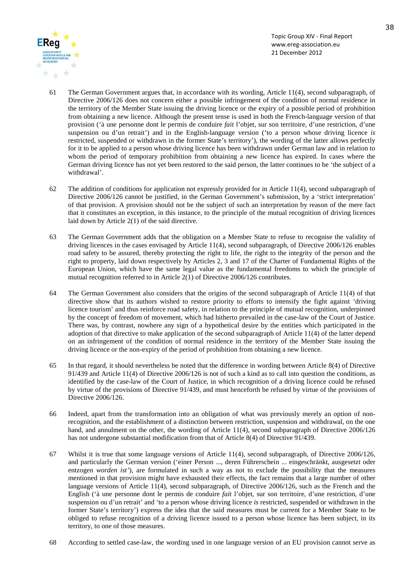![](_page_37_Picture_0.jpeg)

- 61 The German Government argues that, in accordance with its wording, Article 11(4), second subparagraph, of Directive 2006/126 does not concern either a possible infringement of the condition of normal residence in the territory of the Member State issuing the driving licence or the expiry of a possible period of prohibition from obtaining a new licence. Although the present tense is used in both the French-language version of that provision ('à une personne dont le permis de conduire *fait* l'objet, sur son territoire, d'une restriction, d'une suspension ou d'un retrait') and in the English-language version ('to a person whose driving licence *is*  restricted, suspended or withdrawn in the former State's territory'), the wording of the latter allows perfectly for it to be applied to a person whose driving licence has been withdrawn under German law and in relation to whom the period of temporary prohibition from obtaining a new licence has expired. In cases where the German driving licence has not yet been restored to the said person, the latter continues to be 'the subject of a withdrawal'.
- 62 The addition of conditions for application not expressly provided for in Article 11(4), second subparagraph of Directive 2006/126 cannot be justified, in the German Government's submission, by a 'strict interpretation' of that provision. A provision should not be the subject of such an interpretation by reason of the mere fact that it constitutes an exception, in this instance, to the principle of the mutual recognition of driving licences laid down by Article 2(1) of the said directive.
- 63 The German Government adds that the obligation on a Member State to refuse to recognise the validity of driving licences in the cases envisaged by Article 11(4), second subparagraph, of Directive 2006/126 enables road safety to be assured, thereby protecting the right to life, the right to the integrity of the person and the right to property, laid down respectively by Articles 2, 3 and 17 of the Charter of Fundamental Rights of the European Union, which have the same legal value as the fundamental freedoms to which the principle of mutual recognition referred to in Article 2(1) of Directive 2006/126 contributes.
- 64 The German Government also considers that the origins of the second subparagraph of Article 11(4) of that directive show that its authors wished to restore priority to efforts to intensify the fight against 'driving licence tourism' and thus reinforce road safety, in relation to the principle of mutual recognition, underpinned by the concept of freedom of movement, which had hitherto prevailed in the case-law of the Court of Justice. There was, by contrast, nowhere any sign of a hypothetical desire by the entities which participated in the adoption of that directive to make application of the second subparagraph of Article 11(4) of the latter depend on an infringement of the condition of normal residence in the territory of the Member State issuing the driving licence or the non-expiry of the period of prohibition from obtaining a new licence.
- 65 In that regard, it should nevertheless be noted that the difference in wording between Article 8(4) of Directive 91/439 and Article 11(4) of Directive 2006/126 is not of such a kind as to call into question the conditions, as identified by the case-law of the Court of Justice, in which recognition of a driving licence could be refused by virtue of the provisions of Directive 91/439, and must henceforth be refused by virtue of the provisions of Directive 2006/126.
- 66 Indeed, apart from the transformation into an obligation of what was previously merely an option of nonrecognition, and the establishment of a distinction between restriction, suspension and withdrawal, on the one hand, and annulment on the other, the wording of Article 11(4), second subparagraph of Directive 2006/126 has not undergone substantial modification from that of Article 8(4) of Directive 91/439.
- 67 Whilst it is true that some language versions of Article 11(4), second subparagraph, of Directive 2006/126, and particularly the German version ('einer Person ..., deren Führerschein ... eingeschränkt, ausgesetzt oder entzogen *worden ist'*), are formulated in such a way as not to exclude the possibility that the measures mentioned in that provision might have exhausted their effects, the fact remains that a large number of other language versions of Article 11(4), second subparagraph, of Directive 2006/126, such as the French and the English ('à une personne dont le permis de conduire *fait* l'objet, sur son territoire, d'une restriction, d'une suspension ou d'un retrait' and 'to a person whose driving licence *is* restricted, suspended or withdrawn in the former State's territory') express the idea that the said measures must be current for a Member State to be obliged to refuse recognition of a driving licence issued to a person whose licence has been subject, in its territory, to one of those measures.
- 68 According to settled case-law, the wording used in one language version of an EU provision cannot serve as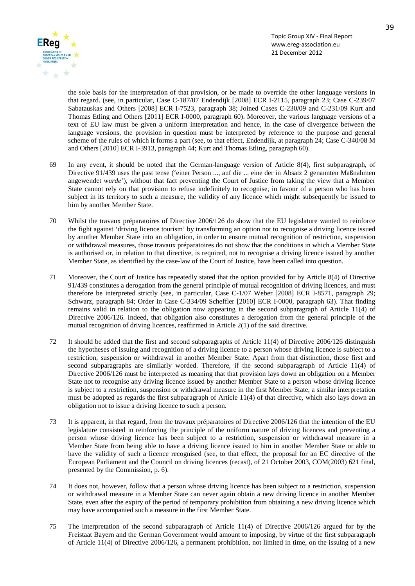![](_page_38_Picture_0.jpeg)

the sole basis for the interpretation of that provision, or be made to override the other language versions in that regard. (see, in particular, Case C-187/07 Endendijk [2008] ECR I-2115, paragraph 23; Case C-239/07 Sabatauskas and Others [2008] ECR I-7523, paragraph 38; Joined Cases C-230/09 and C-231/09 Kurt and Thomas Etling and Others [2011] ECR I-0000, paragraph 60). Moreover, the various language versions of a text of EU law must be given a uniform interpretation and hence, in the case of divergence between the language versions, the provision in question must be interpreted by reference to the purpose and general scheme of the rules of which it forms a part (see, to that effect, Endendijk, at paragraph 24; Case C-340/08 M and Others [2010] ECR I-3913, paragraph 44; Kurt and Thomas Etling, paragraph 60).

- 69 In any event, it should be noted that the German-language version of Article 8(4), first subparagraph, of Directive 91/439 uses the past tense ('einer Person ..., auf die ... eine der in Absatz 2 genannten Maßnahmen angewendet *wurde'*), without that fact preventing the Court of Justice from taking the view that a Member State cannot rely on that provision to refuse indefinitely to recognise, in favour of a person who has been subject in its territory to such a measure, the validity of any licence which might subsequently be issued to him by another Member State.
- 70 Whilst the travaux préparatoires of Directive 2006/126 do show that the EU legislature wanted to reinforce the fight against 'driving licence tourism' by transforming an option not to recognise a driving licence issued by another Member State into an obligation, in order to ensure mutual recognition of restriction, suspension or withdrawal measures, those travaux préparatoires do not show that the conditions in which a Member State is authorised or, in relation to that directive, is required, not to recognise a driving licence issued by another Member State, as identified by the case-law of the Court of Justice, have been called into question.
- 71 Moreover, the Court of Justice has repeatedly stated that the option provided for by Article 8(4) of Directive 91/439 constitutes a derogation from the general principle of mutual recognition of driving licences, and must therefore be interpreted strictly (see, in particular, Case C-1/07 Weber [2008] ECR I-8571, paragraph 29; Schwarz, paragraph 84; Order in Case C-334/09 Scheffler [2010] ECR I-0000, paragraph 63). That finding remains valid in relation to the obligation now appearing in the second subparagraph of Article 11(4) of Directive 2006/126. Indeed, that obligation also constitutes a derogation from the general principle of the mutual recognition of driving licences, reaffirmed in Article 2(1) of the said directive.
- 72 It should be added that the first and second subparagraphs of Article 11(4) of Directive 2006/126 distinguish the hypotheses of issuing and recognition of a driving licence to a person whose driving licence is subject to a restriction, suspension or withdrawal in another Member State. Apart from that distinction, those first and second subparagraphs are similarly worded. Therefore, if the second subparagraph of Article 11(4) of Directive 2006/126 must be interpreted as meaning that that provision lays down an obligation on a Member State not to recognise any driving licence issued by another Member State to a person whose driving licence is subject to a restriction, suspension or withdrawal measure in the first Member State, a similar interpretation must be adopted as regards the first subparagraph of Article 11(4) of that directive, which also lays down an obligation not to issue a driving licence to such a person.
- 73 It is apparent, in that regard, from the travaux préparatoires of Directive 2006/126 that the intention of the EU legislature consisted in reinforcing the principle of the uniform nature of driving licences and preventing a person whose driving licence has been subject to a restriction, suspension or withdrawal measure in a Member State from being able to have a driving licence issued to him in another Member State or able to have the validity of such a licence recognised (see, to that effect, the proposal for an EC directive of the European Parliament and the Council on driving licences (recast), of 21 October 2003, COM(2003) 621 final, presented by the Commission, p. 6).
- 74 It does not, however, follow that a person whose driving licence has been subject to a restriction, suspension or withdrawal measure in a Member State can never again obtain a new driving licence in another Member State, even after the expiry of the period of temporary prohibition from obtaining a new driving licence which may have accompanied such a measure in the first Member State.
- 75 The interpretation of the second subparagraph of Article 11(4) of Directive 2006/126 argued for by the Freistaat Bayern and the German Government would amount to imposing, by virtue of the first subparagraph of Article 11(4) of Directive 2006/126, a permanent prohibition, not limited in time, on the issuing of a new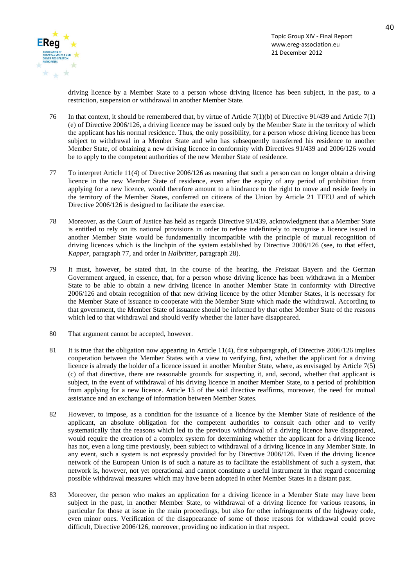![](_page_39_Picture_0.jpeg)

driving licence by a Member State to a person whose driving licence has been subject, in the past, to a restriction, suspension or withdrawal in another Member State.

- 76 In that context, it should be remembered that, by virtue of Article 7(1)(b) of Directive 91/439 and Article 7(1) (e) of Directive 2006/126, a driving licence may be issued only by the Member State in the territory of which the applicant has his normal residence. Thus, the only possibility, for a person whose driving licence has been subject to withdrawal in a Member State and who has subsequently transferred his residence to another Member State, of obtaining a new driving licence in conformity with Directives 91/439 and 2006/126 would be to apply to the competent authorities of the new Member State of residence.
- 77 To interpret Article 11(4) of Directive 2006/126 as meaning that such a person can no longer obtain a driving licence in the new Member State of residence, even after the expiry of any period of prohibition from applying for a new licence, would therefore amount to a hindrance to the right to move and reside freely in the territory of the Member States, conferred on citizens of the Union by Article 21 TFEU and of which Directive 2006/126 is designed to facilitate the exercise.
- 78 Moreover, as the Court of Justice has held as regards Directive 91/439, acknowledgment that a Member State is entitled to rely on its national provisions in order to refuse indefinitely to recognise a licence issued in another Member State would be fundamentally incompatible with the principle of mutual recognition of driving licences which is the linchpin of the system established by Directive 2006/126 (see, to that effect, *Kapper*, paragraph 77, and order in *Halbritter*, paragraph 28).
- 79 It must, however, be stated that, in the course of the hearing, the Freistaat Bayern and the German Government argued, in essence, that, for a person whose driving licence has been withdrawn in a Member State to be able to obtain a new driving licence in another Member State in conformity with Directive 2006/126 and obtain recognition of that new driving licence by the other Member States, it is necessary for the Member State of issuance to cooperate with the Member State which made the withdrawal. According to that government, the Member State of issuance should be informed by that other Member State of the reasons which led to that withdrawal and should verify whether the latter have disappeared.
- 80 That argument cannot be accepted, however.
- 81 It is true that the obligation now appearing in Article 11(4), first subparagraph, of Directive 2006/126 implies cooperation between the Member States with a view to verifying, first, whether the applicant for a driving licence is already the holder of a licence issued in another Member State, where, as envisaged by Article 7(5) (c) of that directive, there are reasonable grounds for suspecting it, and, second, whether that applicant is subject, in the event of withdrawal of his driving licence in another Member State, to a period of prohibition from applying for a new licence. Article 15 of the said directive reaffirms, moreover, the need for mutual assistance and an exchange of information between Member States.
- 82 However, to impose, as a condition for the issuance of a licence by the Member State of residence of the applicant, an absolute obligation for the competent authorities to consult each other and to verify systematically that the reasons which led to the previous withdrawal of a driving licence have disappeared, would require the creation of a complex system for determining whether the applicant for a driving licence has not, even a long time previously, been subject to withdrawal of a driving licence in any Member State. In any event, such a system is not expressly provided for by Directive 2006/126. Even if the driving licence network of the European Union is of such a nature as to facilitate the establishment of such a system, that network is, however, not yet operational and cannot constitute a useful instrument in that regard concerning possible withdrawal measures which may have been adopted in other Member States in a distant past.
- 83 Moreover, the person who makes an application for a driving licence in a Member State may have been subject in the past, in another Member State, to withdrawal of a driving licence for various reasons, in particular for those at issue in the main proceedings, but also for other infringements of the highway code, even minor ones. Verification of the disappearance of some of those reasons for withdrawal could prove difficult, Directive 2006/126, moreover, providing no indication in that respect.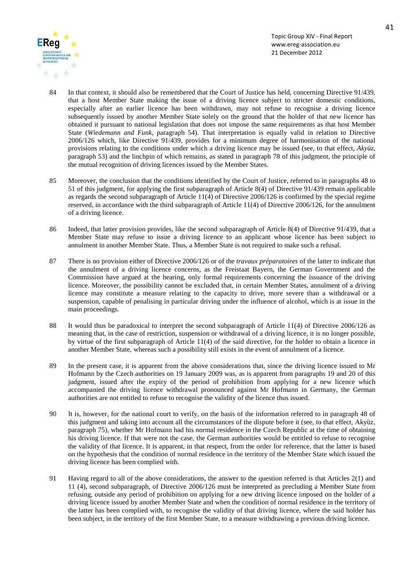![](_page_40_Picture_0.jpeg)

- 84 In that context, it should also be remembered that the Court of Justice has held, concerning Directive 91/439, that a host Member State making the issue of a driving licence subject to stricter domestic conditions, especially after an earlier licence has been withdrawn, may not refuse to recognise a driving licence subsequently issued by another Member State solely on the ground that the holder of that new licence has obtained it pursuant to national legislation that does not impose the same requirements as that host Member State (*Wiedemann and Funk*, paragraph 54). That interpretation is equally valid in relation to Directive 2006/126 which, like Directive 91/439, provides for a minimum degree of harmonisation of the national provisions relating to the conditions under which a driving licence may be issued (see, to that effect, *Akyüz*, paragraph 53) and the linchpin of which remains, as stated in paragraph 78 of this judgment, the principle of the mutual recognition of driving licences issued by the Member States.
- 85 Moreover, the conclusion that the conditions identified by the Court of Justice, referred to in paragraphs 48 to 51 of this judgment, for applying the first subparagraph of Article 8(4) of Directive 91/439 remain applicable as regards the second subparagraph of Article 11(4) of Directive 2006/126 is confirmed by the special regime reserved, in accordance with the third subparagraph of Article 11(4) of Directive 2006/126, for the annulment of a driving licence.
- 86 Indeed, that latter provision provides, like the second subparagraph of Article 8(4) of Directive 91/439, that a Member State may refuse to issue a driving licence to an applicant whose licence has been subject to annulment in another Member State. Thus, a Member State is not required to make such a refusal.
- 87 There is no provision either of Directive 2006/126 or of the *travaux préparatoires* of the latter to indicate that the annulment of a driving licence concerns, as the Freistaat Bayern, the German Government and the Commission have argued at the hearing, only formal requirements concerning the issuance of the driving licence. Moreover, the possibility cannot be excluded that, in certain Member States, annulment of a driving licence may constitute a measure relating to the capacity to drive, more severe than a withdrawal or a suspension, capable of penalising in particular driving under the influence of alcohol, which is at issue in the main proceedings.
- 88 It would thus be paradoxical to interpret the second subparagraph of Article 11(4) of Directive 2006/126 as meaning that, in the case of restriction, suspension or withdrawal of a driving licence, it is no longer possible, by virtue of the first subparagraph of Article 11(4) of the said directive, for the holder to obtain a licence in another Member State, whereas such a possibility still exists in the event of annulment of a licence.
- 89 In the present case, it is apparent from the above considerations that, since the driving licence issued to Mr Hofmann by the Czech authorities on 19 January 2009 was, as is apparent from paragraphs 19 and 20 of this judgment, issued after the expiry of the period of prohibition from applying for a new licence which accompanied the driving licence withdrawal pronounced against Mr Hofmann in Germany, the German authorities are not entitled to refuse to recognise the validity of the licence thus issued.
- 90 It is, however, for the national court to verify, on the basis of the information referred to in paragraph 48 of this judgment and taking into account all the circumstances of the dispute before it (see, to that effect, Akyüz, paragraph 75), whether Mr Hofmann had his normal residence in the Czech Republic at the time of obtaining his driving licence. If that were not the case, the German authorities would be entitled to refuse to recognise the validity of that licence. It is apparent, in that respect, from the order for reference, that the latter is based on the hypothesis that the condition of normal residence in the territory of the Member State which issued the driving licence has been complied with.
- 91 Having regard to all of the above considerations, the answer to the question referred is that Articles 2(1) and 11 (4), second subparagraph, of Directive 2006/126 must be interpreted as precluding a Member State from refusing, outside any period of prohibition on applying for a new driving licence imposed on the holder of a driving licence issued by another Member State and when the condition of normal residence in the territory of the latter has been complied with, to recognise the validity of that driving licence, where the said holder has been subject, in the territory of the first Member State, to a measure withdrawing a previous driving licence.